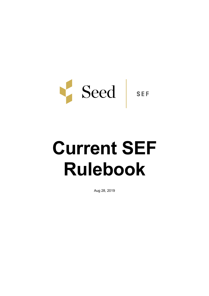

# **Current SEF Rulebook**

Aug 28, 2019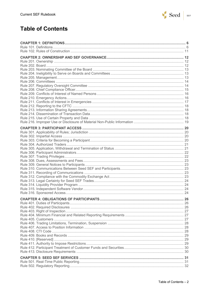

# **Table of Contents**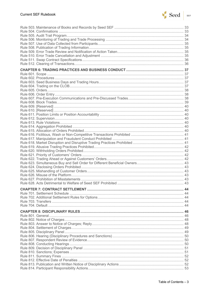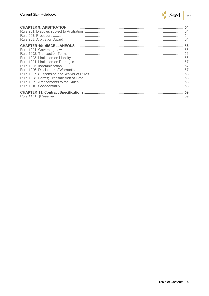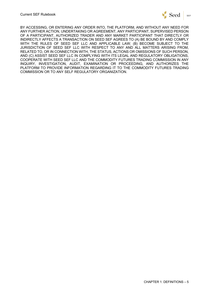

BY ACCESSING, OR ENTERING ANY ORDER INTO, THE PLATFORM, AND WITHOUT ANY NEED FOR ANY FURTHER ACTION, UNDERTAKING OR AGREEMENT, ANY PARTICIPANT, SUPERVISED PERSON OF A PARTICIPANT, AUTHORIZED TRADER AND ANY MARKET PARTICIPANT THAT DIRECTLY OR INDIRECTLY AFFECTS A TRANSACTION ON SEED SEF AGREES TO (A) BE BOUND BY AND COMPLY WITH THE RULES OF SEED SEF LLC AND APPLICABLE LAW; (B) BECOME SUBJECT TO THE JURISDICTION OF SEED SEF LLC WITH RESPECT TO ANY AND ALL MATTERS ARISING FROM, RELATED TO, OR IN CONNECTION WITH, THE STATUS, ACTIONS OR OMISSIONS OF SUCH PERSON, AND (C) ASSIST SEED SEF LLC IN COMPLYING WITH ITS LEGAL AND REGULATORY OBLIGATIONS, COOPERATE WITH SEED SEF LLC AND THE COMMODITY FUTURES TRADING COMMISSION IN ANY INQUIRY, INVESTIGATION, AUDIT, EXAMINATION OR PROCEEDING, AND AUTHORIZES THE PLATFORM TO PROVIDE INFORMATION REGARDING IT TO THE COMMODITY FUTURES TRADING COMMISSION OR TO ANY SELF REGULATORY ORGANIZATION.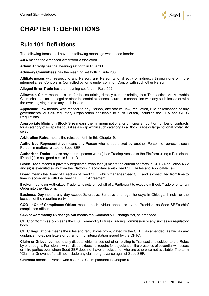

# **CHAPTER 1: DEFINITIONS**

#### **Rule 101. Definitions**

The following terms shall have the following meanings when used herein:

**AAA** means the American Arbitration Association.

**Admin Activity** has the meaning set forth in Rule 306.

**Advisory Committees** has the meaning set forth in Rule 206.

**Affiliate** means with respect to any Person, any Person who, directly or indirectly through one or more intermediaries, Controls, is Controlled by, or is under common Control with such other Person.

**Alleged Error Trade** has the meaning set forth in Rule 509.

**Allowable Claim** means a claim for losses arising directly from or relating to a Transaction. An Allowable Claim shall not include legal or other incidental expenses incurred in connection with any such losses or with the events giving rise to any such losses.

**Applicable Law** means, with respect to any Person, any statute, law, regulation, rule or ordinance of any governmental or Self-Regulatory Organization applicable to such Person, including the CEA and CFTC Regulations.

**Appropriate Minimum Block Size** means the minimum notional or principal amount or number of contracts for a category of swaps that qualifies a swap within such category as a Block Trade or large notional off-facility swap.

**Arbitration Rules** means the rules set forth in this Chapter 9.

**Authorized Representative** means any Person who is authorized by another Person to represent such Person in matters related to Seed SEF.

**Authorized Trader** means any natural person who (i) has Trading Access to the Platform using a Participant ID and (ii) is assigned a valid User ID.

**Block Trade** means a privately negotiated swap that (i) meets the criteria set forth in CFTC Regulation 43.2 and (ii) is executed away from the Platform in accordance with Seed SEF Rules and Applicable Law.

**Board** means the Board of Directors of Seed SEF, which manages Seed SEF and is constituted from time to time in accordance with the Seed SEF LLC Agreement.

**Broker** means an Authorized Trader who acts on behalf of a Participant to execute a Block Trade or enter an Order into the Platform.

**Business Day** means any day except Saturdays, Sundays and legal holidays in Chicago, Illinois, or the location of the reporting party.

**CCO** or **Chief Compliance Officer** means the individual appointed by the President as Seed SEF's chief compliance officer.

**CEA** or **Commodity Exchange Act** means the Commodity Exchange Act, as amended.

**CFTC** or **Commission** means the U.S. Commodity Futures Trading Commission or any successor regulatory body.

**CFTC Regulations** means the rules and regulations promulgated by the CFTC, as amended, as well as any guidance, no-action letters or other form of interpretation issued by the CFTC.

**Claim or Grievance** means any dispute which arises out of or relating to Transactions subject to the Rules by or through a Participant, which dispute does not require for adjudication the presence of essential witnesses or third parties over whom Seed SEF does not have jurisdiction or who are otherwise not available. The term "Claim or Grievance" shall not include any claim or grievance against Seed SEF.

**Claimant** means a Person who asserts a Claim pursuant to Chapter 9.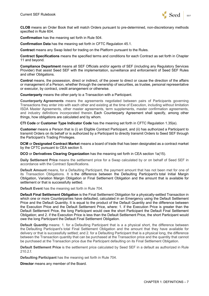

**CLOB** means an Order Book that will match Orders pursuant to pre-determined, non-discretionary methods specified in Rule 604.

**Confirmation** has the meaning set forth in Rule 504.

**Confirmation Data** has the meaning set forth in CFTC Regulation 45.1.

**Contract** means any Swap listed for trading on the Platform pursuant to the Rules.

**Contract Specifications** means the specified terms and conditions for each Contract as set forth in Chapter 11 and beyond.

**Compliance Department** means all SEF Officials and/or agents of SEF (including any Regulatory Services Provider) that assist Seed SEF with the implementation, surveillance and enforcement of Seed SEF Rules and other Obligations.

**Control** means, the possession, direct or indirect, of the power to direct or cause the direction of the affairs or management of a Person, whether through the ownership of securities, as trustee, personal representative or executor, by contract, credit arrangement or otherwise.

**Counterparty** means the other party to a Transaction with a Participant.

**Counterparty Agreements** means the agreements negotiated between pairs of Participants governing Transactions they enter into with each other and existing at the time of Execution, including without limitation ISDA Master Agreements, other master agreements, term supplements, master confirmation agreements, and industry definitions incorporated therein. Each Counterparty Agreement shall specify, among other things, how obligations are calculated and by whom.

**CTI Code** or **Customer Type Indicator Code** has the meaning set forth in CFTC Regulation 1.35(e).

**Customer** means a Person that is (i) an Eligible Contract Participant, and (ii) has authorized a Participant to transmit Orders on its behalf or is authorized by a Participant to directly transmit Orders to Seed SEF through the Participant's Trading Privileges.

**DCM** or **Designated Contract Market** means a board of trade that has been designated as a contract market by the CFTC pursuant to CEA section 5.

**DCO** or **Derivatives Clearing Organization** has the meaning set forth in CEA section 1a(15).

**Daily Settlement Price** means the settlement price for a Swap calculated by or on behalf of Seed SEF in accordance with the Contract Specifications.

**Default Amount** means, for a Defaulting Participant, the payment amount that has not been met for one of its Transaction Obligations. It is the difference between the Defaulting Participant's total Initial Margin Obligation, Variation Margin Obligation or Final Settlement Obligation and the amount that is available for settlement or that is successfully settled.

**Default Event** has the meaning set forth in Rule 704.

**Default Final Settlement Obligation** is the Final Settlement Obligation for a physically-settled Transaction in which one or more Counterparties have defaulted, calculated in an Emergency using the Default Settlement Price and the Default Quantity. It is equal to the product of the Default Quantity and the difference between the Execution Price and the Default Settlement Price, where: 1. if the Execution Price is greater than the Default Settlement Price, the long Participant would owe the short Participant the Default Final Settlement Obligation; and 2. if the Execution Price is less than the Default Settlement Price, the short Participant would owe the long Participant the Default Final Settlement Obligation.

**Default Quantity** means: 1. for a Defaulting Participant that is a a physical short, the difference between the Defaulting Participant's total Final Settlement Obligation and the amount that they have available for delivery or that is successfully settled; and 2. for a Defaulting Participant that is a physical long, the difference between the Transaction quantity that can be purchased at the Transaction price and the quantity that cannot be purchased at the Transaction price due the Participant defaulting on its Final Settlement Obligation.

**Default Settlement Price** is the settlement price calculated by Seed SEF in a default as authorized in Rule  $210.2f$ 

**Defaulting Participant** has the meaning set forth in Rule 704.

**Director** means any member of the Board.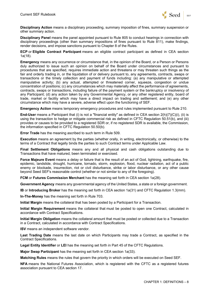

**Disciplinary Action** means a disciplinary proceeding, summary imposition of fines, summary suspension or other summary action.

**Disciplinary Panel** means the panel appointed pursuant to Rule 805 to conduct hearings in connection with disciplinary proceedings (other than summary impositions of fines pursuant to Rule 811), make findings, render decisions, and impose sanctions pursuant to Chapter 8 of the Rules.

**ECP** or **Eligible Contract Participant** means an eligible contract participant as defined in CEA section 1a(18).

**Emergency** means any occurrence or circumstance that, in the opinion of the Board, or a Person or Persons duly authorized to issue such an opinion on behalf of the Board under circumstances and pursuant to procedures that are specified, requires immediate action and threatens or may threaten such things as the fair and orderly trading in, or the liquidation of or delivery pursuant to, any agreements, contracts, swaps or transactions or the timely collection and payment of funds including: (a) any manipulative or attempted manipulative activity; (b) any actual, attempted or threatened corner, squeeze, congestion or undue concentration of positions; (c) any circumstances which may materially affect the performance of agreements, contracts, swaps or transactions, including failure of the payment system or the bankruptcy or insolvency of any Participant; (d) any action taken by any Governmental Agency, or any other registered entity, board of trade, market or facility which may have a direct impact on trading and settlement; and (e) any other circumstance which may have a severe, adverse effect upon the functioning of SEF.

**Emergency Action** means temporary emergency procedures and rules implemented pursuant to Rule 210.

**End-User** means a Participant that (i) is not a "financial entity" as defined in CEA section 2(h)(7)(C)(i), (ii) is using the transaction to hedge or mitigate commercial risk as defined in CFTC Regulation 50.51(b), and (iii) provides or causes to be provided to a registered SDR or, if no registered SDR is available, the Commission, the information specified in CFTC Regulation 50.50(b).

**Error Trade** has the meaning ascribed to such term in Rule 509.

**Execution** means an agreement by the parties (whether orally, in writing, electronically, or otherwise) to the terms of a Contract that legally binds the parties to such Contract terms under Applicable Law.

**Final Settlement Obligations** means any and all physical and cash obligations outstanding due to Transactions that have matured, been terminated or exercised.

**Force Majeure Event** means a delay or failure that is the result of an act of God, lightning, earthquake, fire, epidemic, landslide, drought, hurricane, tornado, storm, explosion, flood, nuclear radiation, act of a public enemy or blockade, insurrection, riot or civil disturbance, strike or labor disturbance, or any other cause beyond Seed SEF's reasonable control (whether or not similar to any of the foregoing).

**FCM** or **Futures Commission Merchant** has the meaning set forth in CEA section 1a(28).

**Government Agency** means any governmental agency of the United States, a state or a foreign government.

**IB** or **Introducing Broker** has the meaning set forth in CEA section 1a(31) and CFTC Regulation 1.3(mm).

**In-The-Money** has the meaning set forth in Rule 703.

**Initial Margin** means the collateral that has been posted by a Participant for a Transaction.

**Initial Margin Requirement** means the collateral that must be posted to open one Contract, calculated in accordance with Contract Specifications.

**Initial Margin Obligation** means the collateral amount that must be posted or collected due to a Transaction in a Contract, calculated in accordance with Contract Specifications.

**ISV** means an independent software vendor.

**Last Trading Date** means the last date on which Participants may trade a Contract, as specified in the Contract Specifications.

**Legal Entity Identifier** or **LEI** has the meaning set forth in Part 45 of the CFTC Regulations.

**Major Swap Participant** has the meaning set forth in CEA section 1a(33).

**Matching Rules** means the rules that govern the priority in which orders will be executed on Seed SEF.

**NFA** means the National Futures Association, which is registered with the CFTC as a registered futures association pursuant to CEA section 17.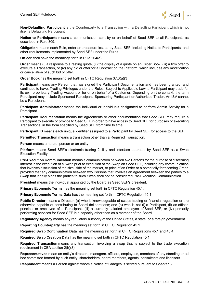

**Non-Defaulting Participant** is the Counterparty to a Transaction with a Defaulting Participant which is not itself a Defaulting Participant.

**Notice to Participants** means a communication sent by or on behalf of Seed SEF to all Participants as described in Rule 309.

**Obligation** means each Rule, order or procedure issued by Seed SEF, including Notice to Participants, and other requirements implemented by Seed SEF under the Rules.

**Officer** shall have the meanings forth in Rule 204(a).

**Order** means (i) a response to a resting quote, (ii) the display of a quote on an Order Book, (iii) a firm offer to execute a Transaction, or (iv) any bid or offer for a Contract on the Platform, which includes any modification or cancellation of such bid or offer.

**Order Book** has the meaning set forth in CFTC Regulation 37.3(a)(3).

**Participant** means any Person that has signed the Participant Documentation and has been granted, and continues to have, Trading Privileges under the Rules. Subject to Applicable Law, a Participant may trade for its own proprietary Trading Account or for or on behalf of a Customer. Depending on the context, the term Participant may include Sponsored Participant, Sponsoring Participant or Authorized Trader. An ISV cannot be a Participant.

**Participant Administrator** means the individual or individuals designated to perform Admin Activity for a Participant.

**Participant Documentation** means the agreements or other documentation that Seed SEF may require a Participant to execute or provide to Seed SEF in order to have access to Seed SEF for purposes of executing Transactions, in the form specified by Seed SEF from time to time.

**Participant ID** means each unique identifier assigned to a Participant by Seed SEF for access to the SEF.

**Permitted Transaction** means a transaction other than a Required Transaction.

**Person** means a natural person or an entity.

**Platform** means Seed SEF's electronic trading facility and interface operated by Seed SEF as a Swap Execution Facility.

**Pre-Execution Communication** means a communication between two Persons for the purpose of discerning interest in the execution of a Swap prior to execution of the Swap on Seed SEF, including any communication that involves discussion of the size, side of the market, or price of an Order or a potentially forthcoming Order, provided that any communication between two Persons that involves an agreement between the parties to a Swap that legally binds the parties to such Swap shall not be considered Pre-Execution Communication.

**President** means the individual appointed by the Board as Seed SEF's president.

**Primary Economic Terms** has the meaning set forth in CFTC Regulation 45.1.

**Primary Economic Terms Data** has the meaning set forth in CFTC Regulation 45.1.

**Public Director** means a Director: (a) who is knowledgeable of swaps trading or financial regulation or are otherwise capable of contributing to Board deliberations; and (b) who is not (i) a Participant, (ii) an officer, principal or employee of a Participant, (iii) a currently salaried employee of Seed SEF, or (iv) primarily performing services for Seed SEF in a capacity other than as a member of the Board.

**Regulatory Agency** means any regulatory authority of the United States, a state, or a foreign government.

**Reporting Counterparty** has the meaning set forth in CFTC Regulation 45.1.

**Required Swap Continuation Data** has the meaning set forth in CFTC Regulations 45.1 and 45.4.

**Required Swap Creation Data** has the meaning set forth in CFTC Regulation 45.1.

**Required Transaction** means any transaction involving a swap that is subject to the trade execution requirement in CEA section 2(h)(8).

**Representatives** mean an entity's directors, managers, officers, employees, members of any standing or ad hoc committee formed by such entity, shareholders, board members, agents, consultants and licensors.

**Respondent** means a Person against whom a Notice of Charges is served pursuant to Chapter 8.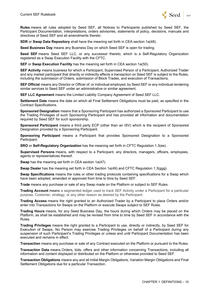

**Rules** means all rules adopted by Seed SEF, all Notices to Participants published by Seed SEF, the Participant Documentation, interpretations, orders advisories, statements of policy, decisions, manuals and directives of Seed SEF and all amendments thereto.

**SDR** or **Swap Data Repository** shall have the meaning set forth in CEA section 1a(48).

**Seed Business Day** means any Business Day on which Seed SEF is open for trading.

**Seed SEF** means Seed SEF LLC, or any successor thereto, which is a Self-Regulatory Organization registered as a Swap Execution Facility with the CFTC.

**SEF** or **Swap Execution Facility** has the meaning set forth in CEA section 1a(50).

**SEF Activity** means business for which a Participant, Supervised Person of a Participant, Authorized Trader and any market participant that directly or indirectly effects a transaction on Seed SEF is subject to the Rules, including the submission of Orders, submission of Block Trades, and execution of Transactions.

**SEF Official** means any Director or Officer of, or individual employed, by Seed SEF or any individual rendering similar services to Seed SEF under an administrative or similar agreement.

**SEF LLC Agreement** means the Limited Liability Company Agreement of Seed SEF LLC.

**Settlement Date** means the date on which all Final Settlement Obligations must be paid, as specified in the Contract Specifications.

**Sponsored Designation** means that a Sponsoring Participant has authorized a Sponsored Participant to use the Trading Privileges of such Sponsoring Participant and has provided all information and documentation required by Seed SEF for such sponsorship.

**Sponsored Participant** means a third party ECP (other than an ISV) which is the recipient of Sponsored Designation provided by a Sponsoring Participant.

**Sponsoring Participant** means a Participant that provides Sponsored Designation to a Sponsored Participant.

**SRO** or **Self-Regulatory Organization** has the meaning set forth in CFTC Regulation 1.3(ee) .

**Supervised Persons** means, with respect to a Participant, any directors, managers, officers, employees, agents or representatives thereof.

**Swap** has the meaning set forth in CEA section 1a(47).

**Swap Dealer** has the meaning set forth in CEA Section 1a(49) and CFTC Regulation 1.3(ggg).

**Swap Specifications** means the rules or other trading protocols containing specifications for a Swap which have been adopted, amended or approved from time to time by Seed SEF.

**Trade** means any purchase or sale of any Swap made on the Platform or subject to SEF Rules.

**Trading Account** means a segmented ledger used to track SEF Activity under a Participant for a particular purpose, Customer, strategy, or any other reason as desired by the Participant.

**Trading Access** means the right granted to an Authorized Trader by a Participant to place Orders and/or enter into Transactions for Swaps on the Platform or execute Swaps subject to SEF Rules.

**Trading Hours** means, for any Seed Business Day, the hours during which Orders may be placed on the Platform, as shall be established and may be revised from time to time by Seed SEF in accordance with the Rules.

**Trading Privileges** means the right granted to a Participant to use, directly or indirectly, by Seed SEF for Execution of Swaps. No Person may exercise Trading Privileges on behalf of a Participant during any suspension of such Participant's Trading Privileges or unless and until Participant Documentation has been executed and remains in effect.

**Transaction** means any purchase or sale of any Contract executed on the Platform or pursuant to the Rules.

**Transaction Data** means Orders, bids, offers and other information concerning Transactions, including all information and content displayed or distributed on the Platform or otherwise provided to Seed SEF.

**Transaction Obligations** means any and all Initial Margin Obligations, Variation Margin Obligations and Final Settlement Obligations due for a particular Transaction.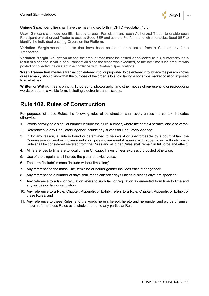

#### **Unique Swap Identifier** shall have the meaning set forth in CFTC Regulation 45.5.

**User ID** means a unique identifier issued to each Participant and each Authorized Trader to enable such Participant or Authorized Trader to access Seed SEF and use the Platform, and which enables Seed SEF to identify the individual entering Orders on the Platform.

**Variation Margin** means amounts that have been posted to or collected from a Counterparty for a Transaction.

**Variation Margin Obligation** means the amount that must be posted or collected to a Counterparty as a result of a change in value of a Transaction since the trade was executed, or the last time such amount was posted or collected, calculated in accordance with Contract Specifications.

**Wash Transaction** means a transaction entered into, or purported to be entered into, where the person knows or reasonably should know that the purpose of the order is to avoid taking a bona fide market position exposed to market risk.

**Written** or **Writing** means printing, lithography, photography, and other modes of representing or reproducing words or data in a visible form, including electronic transmissions.

### **Rule 102. Rules of Construction**

For purposes of these Rules, the following rules of construction shall apply unless the context indicates otherwise:

- 1. Words conveying a singular number include the plural number, where the context permits, and vice versa;
- 2. References to any Regulatory Agency include any successor Regulatory Agency;
- 3. If, for any reason, a Rule is found or determined to be invalid or unenforceable by a court of law, the Commission or another governmental or quasi-governmental agency with supervisory authority, such Rule shall be considered severed from the Rules and all other Rules shall remain in full force and effect;
- 4. All references to time are to local time in Chicago, Illinois unless expressly provided otherwise;
- 5. Use of the singular shall include the plural and vice versa;
- 6. The term "include" means "include without limitation;"
- 7. Any reference to the masculine, feminine or neuter gender includes each other gender;
- 8. Any reference to a number of days shall mean calendar days unless business days are specified;
- 9. Any reference to a law or regulation refers to such law or regulation as amended from time to time and any successor law or regulation;
- 10. Any reference to a Rule, Chapter, Appendix or Exhibit refers to a Rule, Chapter, Appendix or Exhibit of these Rules; and
- 11. Any reference to these Rules, and the words herein, hereof, hereto and hereunder and words of similar import refer to these Rules as a whole and not to any particular Rule.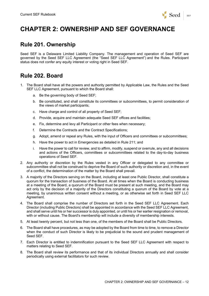

# **CHAPTER 2: OWNERSHIP AND SEF GOVERNANCE**

#### **Rule 201. Ownership**

Seed SEF is a Delaware Limited Liability Company. The management and operation of Seed SEF are governed by the Seed SEF LLC Agreement (the "Seed SEF LLC Agreement") and the Rules. Participant status does not confer any equity interest or voting right in Seed SEF.

## **Rule 202. Board**

- 1. The Board shall have all the powers and authority permitted by Applicable Law, the Rules and the Seed SEF LLC Agreement, pursuant to which the Board shall:
	- a. Be the governing body of Seed SEF;
	- b. Be constituted, and shall constitute its committees or subcommittees, to permit consideration of the views of market participants;
	- c. Have charge and control of all property of Seed SEF;
	- d. Provide, acquire and maintain adequate Seed SEF offices and facilities;
	- e. Fix, determine and levy all Participant or other fees when necessary;
	- f. Determine the Contracts and the Contract Specifications;
	- g. Adopt, amend or repeal any Rules, with the input of Officers and committees or subcommittees;
	- h. Have the power to act in Emergencies as detailed in Rule 211; and
	- i. Have the power to call for review, and to affirm, modify, suspend or overrule, any and all decisions and actions of the Officers, committees or subcommittees related to the day-to-day business operations of Seed SEF.
- 2. Any authority or discretion by the Rules vested in any Officer or delegated to any committee or subcommittee shall not be construed to deprive the Board of such authority or discretion and, in the event of a conflict, the determination of the matter by the Board shall prevail.
- 3. A majority of the Directors serving on the Board, including at least one Public Director, shall constitute a quorum for the transaction of business of the Board. At all times when the Board is conducting business at a meeting of the Board, a quorum of the Board must be present at such meeting, and the Board may act only by the decision of a majority of the Directors constituting a quorum of the Board by vote at a meeting, by unanimous written consent without a meeting, or as otherwise set forth in Seed SEF LLC Agreement.
- 4. The Board shall comprise the number of Directors set forth in the Seed SEF LLC Agreement. Each Director (including Public Directors) shall be appointed in accordance with the Seed SEF LLC Agreement, and shall serve until his or her successor is duly appointed, or until his or her earlier resignation or removal, with or without cause. The Board's membership will include a diversity of membership interests.
- 5. At least twenty percent, but not less than one, of the members of the Board shall be Public Directors.
- 6. The Board shall have procedures, as may be adopted by the Board from time to time, to remove a Director when the conduct of such Director is likely to be prejudicial to the sound and prudent management of Seed SEF.
- 7. Each Director is entitled to indemnification pursuant to the Seed SEF LLC Agreement with respect to matters relating to Seed SEF.
- 8. The Board shall review its performance and that of its individual Directors annually and shall consider periodically using external facilitators for such review.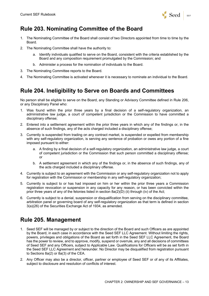

# **Rule 203. Nominating Committee of the Board**

- 1. The Nominating Committee of the Board shall consist of two Directors appointed from time to time by the Board.
- 2. The Nominating Committee shall have the authority to:
	- a. Identify individuals qualified to serve on the Board, consistent with the criteria established by the Board and any composition requirement promulgated by the Commission; and
	- b. Administer a process for the nomination of individuals to the Board.
- 3. The Nominating Committee reports to the Board.
- 4. The Nominating Committee is activated whenever it is necessary to nominate an individual to the Board.

# **Rule 204. Ineligibility to Serve on Boards and Committees**

No person shall be eligible to serve on the Board, any Standing or Advisory Committee defined in Rule 206, or any Disciplinary Panel who:

- 1. Was found within the prior three years by a final decision of a self-regulatory organization, an administrative law judge, a court of competent jurisdiction or the Commission to have committed a disciplinary offense;
- 2. Entered into a settlement agreement within the prior three years in which any of the findings or, in the absence of such findings, any of the acts charged included a disciplinary offense;
- 3. Currently is suspended from trading on any contract market, is suspended or expelled from membership with any self-regulatory organization, is serving any sentence of probation or owes any portion of a fine imposed pursuant to either:
	- a. A finding by a final decision of a self-regulatory organization, an administrative law judge, a court of competent jurisdiction or the Commission that such person committed a disciplinary offense; or
	- b. A settlement agreement in which any of the findings or, in the absence of such findings, any of the acts charged included a disciplinary offense.
- 4. Currently is subject to an agreement with the Commission or any self-regulatory organization not to apply for registration with the Commission or membership in any self-regulatory organization;
- 5. Currently is subject to or has had imposed on him or her within the prior three years a Commission registration revocation or suspension in any capacity for any reason, or has been convicted within the prior three years of any of the felonies listed in section 8a(2)(D) (ii) through (iv) of the Act;
- 6. Currently is subject to a denial, suspension or disqualification from serving on the disciplinary committee, arbitration panel or governing board of any self-regulatory organization as that term is defined in section 3(a)(26) of the Securities Exchange Act of 1934, as amended.

### **Rule 205. Management**

- 1. Seed SEF will be managed by or subject to the direction of the Board and such Officers as are appointed by the Board, in each case in accordance with the Seed SEF LLC Agreement. Without limiting the rights, powers, privileges and obligations of the Board as set forth in the Seed SEF LLC Agreement, the Board has the power to review, and to approve, modify, suspend or overrule, any and all decisions of committees of Seed SEF and any Officers, subject to Applicable Law. Qualifications for Officers will be as set forth in the Seed SEF LLC Agreement and hereunder. No Director may be disqualified from registration pursuant to Sections 8a(2) or 8a(3) of the CEA.
- 2. Any Officer may also be a director, officer, partner or employee of Seed SEF or of any of its Affiliates, subject to disclosure and resolution of conflicts of interest.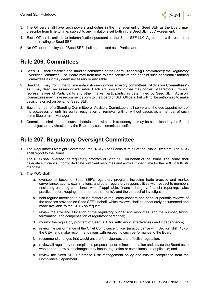

- 3. The Officers shall have such powers and duties in the management of Seed SEF as the Board may prescribe from time to time, subject to any limitations set forth in the Seed SEF LLC Agreement.
- 4. Each Officer is entitled to indemnification pursuant to the Seed SEF LLC Agreement with respect to matters relating to Seed SEF.
- 5. No Officer or employee of Seed SEF shall be admitted as a Participant.

# **Rule 206. Committees**

- 1. Seed SEF shall establish one standing committee of the Board ("**Standing Committee"**): the Regulatory Oversight Committee. The Board may from time to time constitute and appoint such additional Standing Committees as it may deem necessary or advisable.
- 2. Seed SEF may from time to time establish one or more advisory committees ("**Advisory Committees**") as it may deem necessary or advisable. Each Advisory Committee may consist of Directors, Officers, representatives of Participants and other market participants, as determined by Seed SEF. Advisory Committees may make recommendations to the Board or SEF Officers, but will not be authorized to make decisions or act on behalf of Seed SEF.
- 3. Each member of a Standing Committee or Advisory Committee shall serve until the due appointment of his successor, or until his earlier resignation or removal, with or without cause, as a member of such committee or as a Manager.
- 4. Committees shall meet on such schedules and with such frequency as may be established by the Board or, subject to any direction by the Board, by such committee itself.

### **Rule 207. Regulatory Oversight Committee**

- 1. The Regulatory Oversight Committee (the "**ROC"**) shall consist of all of the Public Directors. The ROC shall report to the Board.
- 2. The ROC shall oversee the regulatory program of Seed SEF on behalf of the Board. The Board shall delegate sufficient authority, dedicate sufficient resources and allow sufficient time for the ROC to fulfill its mandate.
- 3. The ROC shall:
	- a. oversee all facets of Seed SEF's regulatory program, including trade practice and market surveillance, audits, examinations, and other regulatory responsibilities with respect to members (including ensuring compliance with, if applicable, financial integrity, financial reporting, sales practice, recordkeeping and other requirements), and the conduct of investigations
	- b. hold regular meetings to discuss matters of regulatory concern and conduct periodic reviews of the services provided on Seed SEF's behalf, which reviews shall be adequately documented and made available to the CFTC on request;
	- c. review the size and allocation of the regulatory budget and resources, and the number, hiring, termination, and compensation of regulatory personnel;
	- d. monitor the regulatory program of Seed SEF for sufficiency, effectiveness and independence;
	- e. review the performance of the Chief Compliance Officer (in accordance with Section 5h(f)(15) of the CEA) and make recommendations with respect to such performance to the Board;
	- f. recommend changes that would ensure fair, vigorous and effective regulation;
	- g. review all regulatory or compliance proposals prior to implementation and advise the Board as to whether and how such changes may impact regulation or compliance, as applicable; and
	- h. review the Seed SEF Enterprise Risk Management policy and ensure compliance from the Compliance Department.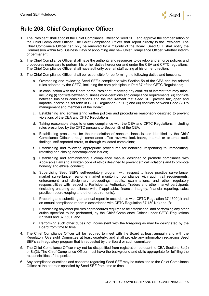

# **Rule 208. Chief Compliance Officer**

- 1. The President shall appoint the Chief Compliance Officer of Seed SEF and approve the compensation of the Chief Compliance Officer. The Chief Compliance Officer shall report directly to the President. The Chief Compliance Officer can only be removed by a majority of the Board. Seed SEF shall notify the Commission within two Business Days of appointing any new Chief Compliance Officer, whether interim or permanent.
- 2. The Chief Compliance Officer shall have the authority and resources to develop and enforce policies and procedures necessary to perform his or her duties hereunder and under the CEA and CFTC regulations. The Chief Compliance Officer shall have authority over all staff acting at his or her direction.
- 3. The Chief Compliance Officer shall be responsible for performing the following duties and functions:
	- a. Overseeing and reviewing Seed SEF's compliance with Section 5h of the CEA and the related rules adopted by the CFTC, including the core principles in Part 37 of the CFTC Regulations;
	- b. In consultation with the Board or the President, resolving any conflicts of interest that may arise, including (i) conflicts between business considerations and compliance requirements; (ii) conflicts between business considerations and the requirement that Seed SEF provide fair, open and impartial access as set forth in CFTC Regulation 37.202; and (iii) conflicts between Seed SEF's management and members of the Board;
	- c. Establishing and administering written policies and procedures reasonably designed to prevent violations of the CEA and CFTC Regulations;
	- d. Taking reasonable steps to ensure compliance with the CEA and CFTC Regulations, including rules prescribed by the CFTC pursuant to Section 5h of the CEA;
	- e. Establishing procedures for the remediation of noncompliance issues identified by the Chief Compliance Officer through compliance office reviews, look-backs, internal or external audit findings, self-reported errors, or through validated complaints;
	- f. Establishing and following appropriate procedures for handling, responding to, remediating, retesting and closing noncompliance issues;
	- g. Establishing and administering a compliance manual designed to promote compliance with Applicable Law and a written code of ethics designed to prevent ethical violations and to promote honesty and ethical conduct;
	- h. Supervising Seed SEF's self-regulatory program with respect to trade practice surveillance, market surveillance, real-time market monitoring, compliance with audit trail requirements, enforcement and disciplinary proceedings, audits, examinations, and other regulatory responsibilities with respect to Participants, Authorized Traders and other market participants (including ensuring compliance with, if applicable, financial integrity, financial reporting, sales practice, recordkeeping and other requirements);
	- i. Preparing and submitting an annual report in accordance with CFTC Regulation 37.1500(d) and an annual compliance report in accordance with CFTC Regulation 37.1501(e) and (f);
	- j. Establishing any other policies or procedures required to be established, and performing any other duties specified to be performed, by the Chief Compliance Officer under CFTC Regulations 37.1500 and 37.1501; and
	- k. Performing such other duties not inconsistent with the foregoing as may be designated by the Board from time to time.
- 4. The Chief Compliance Officer will be required to meet with the Board at least annually and with the Regulatory Oversight Committee at least quarterly, and shall provide any information regarding Seed SEF's self-regulatory program that is requested by the Board or such committee.
- 5. The Chief Compliance Officer may not be disqualified from registration pursuant to CEA Sections 8a(2) or 8a(3). The Chief Compliance Officer must have the background and skills appropriate for fulfilling the responsibilities of the position.
- 6. Any compliance questions and concerns regarding Seed SEF may be submitted to the Chief Compliance Officer at the address specified by Seed SEF from time to time.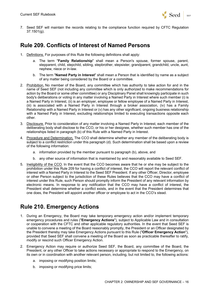

7. Seed SEF will maintain the records relating to the compliance function required by CFTC Regulation 37.1501(g).

#### **Rule 209. Conflicts of Interest of Named Persons**

- 1. Definitions. For purposes of this Rule the following definitions shall apply:
	- a. The term "**Family Relationship**" shall mean a Person's spouse, former spouse, parent, stepparent, child, stepchild, sibling, stepbrother, stepsister, grandparent, grandchild, uncle, aunt, nephew, niece or in-law.
	- b. The term "**Named Party in Interest**" shall mean a Person that is identified by name as a subject of any matter being considered by the Board or a committee.
- 2. Prohibition. No member of the Board, any committee which has authority to take action for and in the name of Seed SEF (not including any committee which is only authorized to make recommendations for action by the Board or some other committee) or any Disciplinary Panel shall knowingly participate in such body's deliberations or voting in any matter involving a Named Party in Interest where such member (i) is a Named Party in Interest, (ii) is an employer, employee or fellow employee of a Named Party in Interest, (iii) is associated with a Named Party in Interest through a broker association, (iv) has a Family Relationship with a Named Party in Interest or (v) has any other significant, ongoing business relationship with a Named Party in Interest, excluding relationships limited to executing transactions opposite each other.
- 3. Disclosure. Prior to consideration of any matter involving a Named Party in Interest, each member of the deliberating body shall disclose to the CCO, or his or her designee, whether such member has one of the relationships listed in paragraph (b) of this Rule with a Named Party in Interest.
- 4. Procedure and Determination. The CCO shall determine whether any member of the deliberating body is subject to a conflict restriction under this paragraph (d). Such determination shall be based upon a review of the following information:
	- a. information provided by the member pursuant to paragraph (b), above, and
	- b. any other source of information that is maintained by and reasonably available to Seed SEF.
- 5. Ineligibility of the CCO. In the event that the CCO becomes aware that he or she may be subject to the prohibition under this Rule 209 for having a conflict of interest, the CCO will report the relevant conflict of interest with a Named Party in Interest to the Seed SEF President. If any other Officer, Director, employee or other Person subject to the jurisdiction of these Rules believes that the CCO may have a conflict of interest under this Rule, such Person should promptly inform the President of any relevant information by electronic means. In response to any notification that the CCO may have a conflict of interest, the President shall determine whether a conflict exists, and in the event that the President determines that one does, the President will appoint another officer or employee to act in the CCO's stead.

### **Rule 210. Emergency Actions**

- 1. During an Emergency, the Board may take temporary emergency action and/or implement temporary emergency procedures and rules ("**Emergency Actions**"), subject to Applicable Law and in consultation or cooperation with the CFTC and other applicable regulatory authorities. In the event that Seed SEF is unable to convene a meeting of the Board reasonably promptly, the President or an Officer designated by the President thereby may take Emergency Actions pursuant to this Rule ("**Officer Emergency Action**"), provided that Seed SEF shall convene a meeting of the Board as soon as practicable thereafter to ratify, modify or rescind such Officer Emergency Action.
- 2. Emergency Action may require or authorize Seed SEF, the Board, any committee of the Board, the President, or any other Officer to take actions necessary or appropriate to respond to the Emergency, on its own or in coordination with another relevant person, including, but not limited to, the following actions:
	- a. imposing or modifying position limits;
	- b. imposing or modifying price limits;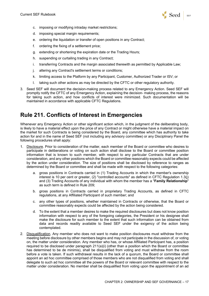

- c. imposing or modifying intraday market restrictions;
- d. imposing special margin requirements;
- e. ordering the liquidation or transfer of open positions in any Contract;
- f. ordering the fixing of a settlement price;
- g. extending or shortening the expiration date or the Trading Hours;
- h. suspending or curtailing trading in any Contract;
- i. transferring Contracts and the margin associated therewith as permitted by Applicable Law;
- j. altering any Contract's settlement terms or conditions;
- k. limiting access to the Platform by any Participant, Customer, Authorized Trader or ISV; or
- l. taking such other actions as may be directed by the CFTC or other regulatory authority.
- 3. Seed SEF will document the decision-making process related to any Emergency Action. Seed SEF will promptly notify the CFTC of any Emergency Action, explaining the decision- making process, the reasons for taking such action, and how conflicts of interest were minimized. Such documentation will be maintained in accordance with applicable CFTC Regulations.

#### **Rule 211. Conflicts of Interest in Emergencies**

Whenever any Emergency Action or other significant action which, in the judgment of the deliberating body, is likely to have a material effect upon the price of any Contract or might otherwise have a material impact on the market for such Contracts is being considered by the Board, any committee which has authority to take action for and in the name of Seed SEF (not including any advisory committee) or any Disciplinary Panel the following procedures shall apply:

- 1. Disclosure. Prior to consideration of the matter, each member of the Board or committee who desires to participate in deliberations or voting on such action shall disclose to the Board or committee position information that is known to such member, with respect to any particular Contracts that are under consideration, and any other positions which the Board or committee reasonably expects could be affected by the action under consideration. The size of positions shall be disclosed by reference to ranges as determined by the Board or committee and shall be made with respect to the following categories:
	- a. gross positions in Contracts carried in (1) Trading Accounts in which the member's ownership interest is 10 per cent or greater, (2) "controlled accounts" as defined in CFTC Regulation 1.3(j) and (3) Trading Accounts of any individual with whom the member has a "**Family Relationship**" as such term is defined in Rule 209;
	- b. gross positions in Contracts carried in proprietary Trading Accounts, as defined in CFTC regulations, at any Affiliated Participant of such member; and
	- c. any other types of positions, whether maintained in Contracts or otherwise, that the Board or committee reasonably expects could be affected by the action being considered.
	- d. To the extent that a member desires to make the required disclosures but does not know position information with respect to any of the foregoing categories, the President or his designee shall make the disclosure for such member to the extent that such information can be obtained from data and records readily available to Seed SEF under the exigency of the action being contemplated.
- 2. Disqualification. Any member who does not want to make position disclosures must withdraw from the meeting before disclosure by other members begins and may not participate in the discussion of, or voting on, the matter under consideration. Any member who has, or whose Affiliated Participant has, a position required to be disclosed under paragraph 211(a)(i) (other than a position which the Board or committee has determined to be de minimis), shall be disqualified from voting and must withdraw from the room before a vote is taken. If such withdrawal results in the lack of a quorum, the Board or committee shall appoint an ad hoc committee comprised of those members who are not disqualified from voting and shall delegate to such ad hoc committee all the powers of the Board or relevant committee with respect to the matter under consideration. No member shall be disqualified from voting upon the appointment of an ad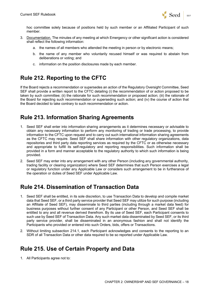

hoc committee solely because of positions held by such member or an Affiliated Participant of such member.

- 3. Documentation. The minutes of any meeting at which Emergency or other significant action is considered shall reflect the following information:
	- a. the names of all members who attended the meeting in person or by electronic means;
	- b. the name of any member who voluntarily recused himself or was required to abstain from deliberations or voting; and
	- c. information on the position disclosures made by each member.

#### **Rule 212. Reporting to the CFTC**

If the Board rejects a recommendation or supersedes an action of the Regulatory Oversight Committee, Seed SEF shall provide a written report to the CFTC detailing (i) the recommendation of or action proposed to be taken by such committee; (ii) the rationale for such recommendation or proposed action; (iii) the rationale of the Board for rejecting such recommendation or superseding such action; and (iv) the course of action that the Board decided to take contrary to such recommendation or action.

# **Rule 213. Information Sharing Agreements**

- 1. Seed SEF shall enter into information sharing arrangements as it determines necessary or advisable to obtain any necessary information to perform any monitoring of trading or trade processing, to provide information to the CFTC upon request and to carry out such international information sharing agreements as the CFTC may require. Seed SEF shall share information with other regulatory organizations, data repositories and third party data reporting services as required by the CFTC or as otherwise necessary and appropriate to fulfill its self-regulatory and reporting responsibilities. Such information shall be provided in a form and manner acceptable to the regulatory authority to which such information is being provided.
- 2. Seed SEF may enter into any arrangement with any other Person (including any governmental authority, trading facility or clearing organization) where Seed SEF determines that such Person exercises a legal or regulatory function under any Applicable Law or considers such arrangement to be in furtherance of the operation or duties of Seed SEF under Applicable Law.

### **Rule 214. Dissemination of Transaction Data**

- 1. Seed SEF shall be entitled, in its sole discretion, to use Transaction Data to develop and compile market data that Seed SEF, or a third party service provider that Seed SEF may utilize for such purpose (including an Affiliate of Seed SEF), may disseminate to third parties (including through a market data feed) for business purposes without further consent of any Participant or other Person, and Seed SEF shall be entitled to any and all revenue derived therefrom. By its use of Seed SEF, each Participant consents to such use by Seed SEF of Transaction Data. Any such market data disseminated by Seed SEF, or its third party service provider, shall be disseminated in an anonymous fashion and shall not identify the Participants who provided or entered into such Orders, bids, offers or Transactions.
- 2. Without limiting subsection 214.1, each Participant acknowledges and consents to the reporting to an SDR of all Transaction Data or other data required to be so reported under Applicable Law.

### **Rule 215. Use of Certain Property and Data**

1. All Participants agree not to: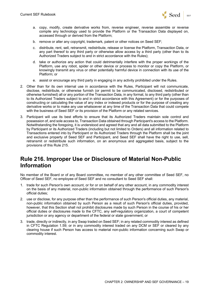

- a. copy, modify, create derivative works from, reverse engineer, reverse assemble or reverse compile any technology used to provide the Platform or the Transaction Data displayed on, accessed through or derived from the Platform;
- b. remove or alter any copyright, trademark, patent or other notices on Seed SEF;
- c. distribute, rent, sell, retransmit, redistribute, release or license the Platform, Transaction Data, or any part thereof to any third party or otherwise allow access by a third party (other than to its Authorized Traders subject to and in strict accordance with the Rules);
- d. take or authorize any action that could detrimentally interfere with the proper workings of the Platform, use any robot, spider or other device or process to monitor or copy the Platform, or knowingly transmit any virus or other potentially harmful device in connection with its use of the Platform; or
- e. assist or encourage any third party in engaging in any activity prohibited under the Rules.
- 2. Other than for its own internal use in accordance with the Rules, Participant will not communicate, disclose, redistribute, or otherwise furnish (or permit to be communicated, disclosed, redistributed or otherwise furnished) all or any portion of the Transaction Data, in any format, to any third party (other than to its Authorized Traders subject to and in strict accordance with this Agreement) or for the purposes of constructing or calculating the value of any index or indexed products or for the purpose of creating any derivative works or to make any use whatsoever at any time of the Transaction Data that could compete with the business of Seed SEF or its provision of the Platform or any related services.
- 3. Participant will use its best efforts to ensure that its Authorized Traders maintain sole control and possession of, and sole access to, Transaction Data obtained through Participant's access to the Platform. Notwithstanding the foregoing, it is understood and agreed that any and all data submitted to the Platform by Participant or its Authorized Traders (including but not limited to Orders) and all information related to Transactions entered into by Participant or its Authorized Traders through the Platform shall be the joint and exclusive property of Seed SEF and Participant, and Seed SEF shall have the right to use, sell, retransmit or redistribute such information, on an anonymous and aggregated basis, subject to the provisions of this Rule 215.

#### **Rule 216. Improper Use or Disclosure of Material Non-Public Information**

No member of the Board or of any Board committee, no member of any other committee of Seed SEF, no Officer of Seed SEF, no employee of Seed SEF and no consultant to Seed SEF shall:

- 1. trade for such Person's own account, or for or on behalf of any other account, in any commodity interest on the basis of any material, non-public information obtained through the performance of such Person's official duties;
- 2. use or disclose, for any purpose other than the performance of such Person's official duties, any material, non-public information obtained by such Person as a result of such Person's official duties, provided, however, that this Section shall not prohibit disclosures made by such Person in the course of his or her official duties or disclosures made to the CFTC, any self-regulatory organization, a court of competent jurisdiction or any agency or department of the federal or state government; or
- 3. trade, directly or indirectly, in any Swap traded on Seed SEF; in any related commodity interest as defined in CFTC Regulation 1.59; or in any commodity interest traded on any DCM or SEF or cleared by any clearing house if such Person has access to material non-public information concerning such Swap or commodity interest.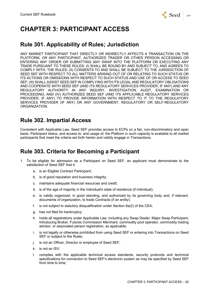

# **CHAPTER 3: PARTICIPANT ACCESS**

#### **Rule 301. Applicability of Rules; Jurisdiction**

ANY MARKET PARTICIPANT THAT DIRECTLY OR INDIRECTLY AFFECTS A TRANSACTION ON THE PLATFORM, OR ANY PARTICIPANT, AUTHORIZED TRADER OR OTHER PERSON ACCESSING OR ENTERING ANY ORDER OR SUBMITTING ANY SWAP INTO THE PLATFORM OR EXECUTING ANY TRADE PURSUANT TO THESE RULES: (I) SHALL BE BOUND BY AND SUBJECT TO, AND AGREES TO COMPLY WITH, THE RULES; (II) CONSENTS TO AND SHALL BE SUBJECT TO THE JURISDICTION OF SEED SEF WITH RESPECT TO ALL MATTERS ARISING OUT OF OR RELATING TO SUCH STATUS OR ITS ACTIONS OR OMISSIONS WITH RESPECT TO SUCH STATUS AND USE OF OR ACCESS TO SEED SEF; (III) SHALL ASSIST SEED SEF IN COMPLYING WITH ITS LEGAL AND REGULATORY OBLIGATIONS AND COOPERATE WITH SEED SEF (AND ITS REGULATORY SERVICES PROVIDER, IF ANY) AND ANY REGULATORY AUTHORITY IN ANY INQUIRY, INVESTIGATION, AUDIT, EXAMINATION OR PROCEEDING; AND (IV) AUTHORIZES SEED SEF (AND ITS APPLICABLE REGULATORY SERVICES PROVIDER, IF ANY) TO PROVIDE INFORMATION WITH RESPECT TO IT TO THE REGULATORY SERVICES PROVIDER (IF ANY) OR ANY GOVERNMENT, REGULATORY OR SELF-REGULATORY ORGANIZATION.

#### **Rule 302. Impartial Access**

Consistent with Applicable Law, Seed SEF provides access to ECPs on a fair, non-discriminatory and open basis. Participant status, and access to, and usage of, the Platform in such capacity is available to all market participants that meet the criteria set forth herein and validly engage in Transactions.

#### **Rule 303. Criteria for Becoming a Participant**

- 1. To be eligible for admission as a Participant on Seed SEF, an applicant must demonstrate to the satisfaction of Seed SEF that it:
	- a. is an Eligible Contract Participant;
	- b. is of good reputation and business integrity;
	- c. maintains adequate financial resources and credit;
	- d. is of the age of majority in the individual's state of residence (if individual);
	- e. is validly organized, in good standing, and authorized by its governing body and, if relevant, documents of organization, to trade Contracts (if an entity);
	- f. is not subject to statutory disqualification under Section 8a(2) of the CEA;
	- g. has not filed for bankruptcy;
	- h. holds all registrations under Applicable Law, including any Swap Dealer, Major Swap Participant, Introducing Broker, Futures Commission Merchant, commodity pool operator, commodity trading advisor, or associated person registration, as applicable;
	- i. is not legally or otherwise prohibited from using Seed SEF or entering into Transactions on Seed SEF or subject to the Rules;
	- j. is not an Officer, Director or employee of Seed SEF;
	- k. is not an ISV;
	- l. complies with the applicable technical access standards, security protocols and technical specifications for connection to Seed SEF's electronic system as may be specified by Seed SEF from time to time;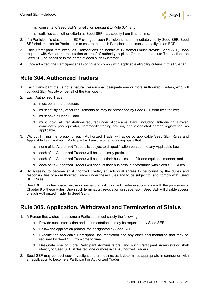

- m. consents to Seed SEF's jurisdiction pursuant to Rule 301; and
- n. satisfies such other criteria as Seed SEF may specify from time to time.
- 2. If a Participant's status as an ECP changes, such Participant must immediately notify Seed SEF. Seed SEF shall monitor its Participants to ensure that each Participant continues to qualify as an ECP.
- 3. Each Participant that executes Transactions on behalf of Customers must provide Seed SEF, upon request, with Written representation or proof of authority to place Orders and execute Transactions on Seed SEF on behalf or in the name of each such Customer.
- 4. Once admitted, the Participant shall continue to comply with applicable eligibility criteria in this Rule 303.

#### **Rule 304. Authorized Traders**

- 1. Each Participant that is not a natural Person shall designate one or more Authorized Traders, who will conduct SEF Activity on behalf of the Participant.
- 2. Each Authorized Trader:
	- a. must be a natural person;
	- b. must satisfy any other requirements as may be prescribed by Seed SEF from time to time;
	- c. must have a User ID; and
	- d. must hold all registrations required under Applicable Law, including Introducing Broker, commodity pool operator, commodity trading advisor, and associated person registration, as applicable.
- 3. Without limiting the foregoing, each Authorized Trader will abide by applicable Seed SEF Rules and Applicable Law, and each Participant will ensure on an ongoing basis that:
	- a. none of its Authorized Traders is subject to disqualification pursuant to any Applicable Law;
	- b. each of its Authorized Traders will be technically proficient;
	- c. each of its Authorized Traders will conduct their business in a fair and equitable manner; and
	- d. each of its Authorized Traders will conduct their business in accordance with Seed SEF Rules.
- 4. By agreeing to become an Authorized Trader, an individual agrees to be bound by the duties and responsibilities of an Authorized Trader under these Rules and to be subject to, and comply with, Seed SEF Rules.
- 5. Seed SEF may terminate, revoke or suspend any Authorized Trader in accordance with the provisions of Chapter 8 of these Rules. Upon such termination, revocation or suspension, Seed SEF will disable access of such Authorized Trader to Seed SEF.

### **Rule 305. Application, Withdrawal and Termination of Status**

- 1. A Person that wishes to become a Participant must satisfy the following:
	- a. Provide such information and documentation as may be requested by Seed SEF.
	- b. Follow the application procedures designated by Seed SEF.
	- c. Execute the applicable Participant Documentation and any other documentation that may be required by Seed SEF from time to time.
	- d. Designate one or more Participant Administrators, and such Participant Administrator shall identify to Seed SEF, if desired, one or more initial Authorized Traders.
- 2. Seed SEF may conduct such investigations or inquiries as it determines appropriate in connection with an application to become a Participant or Authorized Trader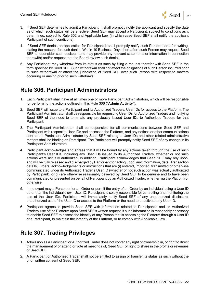

- 3. If Seed SEF determines to admit a Participant, it shall promptly notify the applicant and specify the date as of which such status will be effective. Seed SEF may accept a Participant, subject to conditions as it determines, subject to Rule 302 and Applicable Law (in which case Seed SEF shall notify the applicant Participant of such conditions).
- 4. If Seed SEF denies an application for Participant it shall promptly notify such Person thereof in writing, stating the reasons for such denial. Within 10 Business Days thereafter, such Person may request Seed SEF to reconsider such decision (and may provide any relevant statements or information in connection therewith) and/or request that the Board review such denial.
- 5. Any Participant may withdraw from its status as such by filing a request therefor with Seed SEF in the form specified by Seed SEF. Such withdrawal shall not affect the obligations of such Person incurred prior to such withdrawal or affect the jurisdiction of Seed SEF over such Person with respect to matters occurring or arising prior to such withdrawal.

#### **Rule 306. Participant Administrators**

- 1. Each Participant shall have at all times one or more Participant Administrators, which will be responsible for performing the actions outlined in this Rule 306 ("**Admin Activity**").
- 2. Seed SEF will issue to a Participant and its Authorized Traders, User IDs for access to the Platform. The Participant Administrator shall be responsible for requesting User IDs for Authorized Traders and notifying Seed SEF of the need to terminate any previously issued User IDs to Authorized Traders for that Participant.
- 3. The Participant Administrator shall be responsible for all communications between Seed SEF and Participant with respect to User IDs and access to the Platform, and any notices or other communications sent to the Participant Administrator by Seed SEF relating to User IDs and other related administrative matters shall be binding on Participant. The Participant will promptly notify Seed SEF of any change in its Participant Administrators.
- 4. Participant acknowledges and agrees that it will be bound by any actions taken through the use of such Participant's User IDs, including any User IDs issued to its Authorized Traders, whether or not such actions were actually authorized. In addition, Participant acknowledges that Seed SEF may rely upon, and will be fully released and discharged by Participant for acting upon, any information, data, Transaction details, Orders, acknowledgements or instructions that are (i) entered, imported, transmitted or otherwise communicated under its Authorized Trader's User ID (whether or not such action was actually authorized by Participant), or (ii) are otherwise reasonably believed by Seed SEF to be genuine and to have been communicated or presented on behalf of Participant by an Authorized Trader, whether via the Platform or otherwise.
- 5. In no event may a Person enter an Order or permit the entry of an Order by an individual using a User ID other than the individual's own User ID. Participant is solely responsible for controlling and monitoring the use of the User IDs. Participant will immediately notify Seed SEF of any unauthorized disclosure, unauthorized use of the User ID or access to the Platform or the need to deactivate any User ID.
- 6. Participant agrees to provide Seed SEF with information related to Participant's and its Authorized Traders' use of the Platform upon Seed SEF's written request, if such information is reasonably necessary to enable Seed SEF to assess the identity of any Person that is accessing the Platform through a User ID of a Participant, to maintain the integrity of the Platform, or to comply with Applicable Law.

# **Rule 307. Trading Privileges**

- 1. Admission as a Participant or Authorized Trader does not confer any right of ownership in, or right to direct the management of or attend or vote at meetings of, Seed SEF or right to share in the profits or revenues of Seed SEF.
- 2. A Participant or Authorized Trader shall not be entitled to assign or transfer its status as such without the prior written consent of Seed SEF.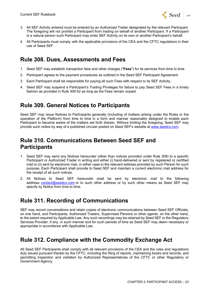

- 3. All SEF Activity entered must be entered by an Authorized Trader designated by the relevant Participant. The foregoing will not prohibit a Participant from trading on behalf of another Participant. If a Participant is a natural person such Participant may enter SEF Activity on its own or another Participant's behalf.
- 4. All Participants must comply with the applicable provisions of the CEA and the CFTC regulations in their use of Seed SEF.

#### **Rule 308. Dues, Assessments and Fees**

- 1. Seed SEF may establish transaction fees and other charges ("**Fees**") for its services from time to time.
- 2. Participant agrees to the payment procedures as outlined in the Seed SEF Participant Agreement.
- 3. Each Participant shall be responsible for paying all such Fees with respect to its SEF Activity.
- 4. Seed SEF may suspend a Participant's Trading Privileges for failure to pay Seed SEF Fees in a timely fashion as provided in Rule 308 for as long as the Fees remain unpaid.

#### **Rule 309. General Notices to Participants**

Seed SEF may issue Notices to Participants generally (including of matters arising under the Rules or the operation of the Platform) from time to time in a form and manner reasonably designed to enable each Participant to become aware of the matters set forth therein. Without limiting the foregoing, Seed SEF may provide such notice by way of a published circular posted on Seed SEF's website at www.seedcx.com.

#### **Rule 310. Communications Between Seed SEF and Participants**

- 1. Seed SEF may send any Notices hereunder (other than notices provided under Rule 309) to a specific Participant or Authorized Trader in writing and either (i) hand-delivered or sent by registered or certified mail or (ii) sent by electronic mail, in either case to the relevant address provided by such Person for such purpose. Each Participant shall provide to Seed SEF and maintain a current electronic mail address for the receipt of all such notices.
- 2. All Notices to Seed SEF hereunder shall be sent by electronic mail to the following address: contact@seedcx.com or to such other address or by such other means as Seed SEF may specify by Notice from time to time.

### **Rule 311. Recording of Communications**

SEF may record conversations and retain copies of electronic communications between Seed SEF Officials, on one hand, and Participants, Authorized Traders, Supervised Persons or other agents, on the other hand, to the extent required by Applicable Law. Any such recordings may be retained by Seed SEF or the Regulatory Services Provider, if any, in such manner and for such periods of time as Seed SEF may deem necessary or appropriate in accordance with Applicable Law.

### **Rule 312. Compliance with the Commodity Exchange Act**

All Seed SEF Participants shall comply with all relevant provisions of the CEA and the rules and regulations duly issued pursuant thereto by the CFTC, including the filing of reports, maintaining books and records, and permitting inspection and visitation by Authorized Representatives of the CFTC or other Regulatory or Government Agency.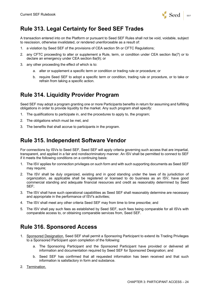

# **Rule 313. Legal Certainty for Seed SEF Trades**

A transaction entered into on the Platform or pursuant to Seed SEF Rules shall not be void, voidable, subject to rescission, otherwise invalidated, or rendered unenforceable as a result of:

- 1. a violation by Seed SEF of the provisions of CEA section 5h or CFTC Regulations;
- 2. any CFTC proceeding to alter or supplement a Rule, term, or condition under CEA section 8a(7) or to declare an emergency under CEA section 8a(9); or
- 3. any other proceeding the effect of which is to:
	- a. alter or supplement a specific term or condition or trading rule or procedure; or
	- b. require Seed SEF to adopt a specific term or condition, trading rule or procedure, or to take or refrain from taking a specific action.

### **Rule 314. Liquidity Provider Program**

Seed SEF may adopt a program granting one or more Participants benefits in return for assuming and fulfilling obligations in order to provide liquidity to the market. Any such program shall specify:

- 1. The qualifications to participate in, and the procedures to apply to, the program;
- 2. The obligations which must be met, and
- 3. The benefits that shall accrue to participants in the program.

### **Rule 315. Independent Software Vendor**

For connections by ISVs to Seed SEF, Seed SEF will apply criteria governing such access that are impartial, transparent, and applied in a fair and nondiscriminatory manner. An ISV shall be permitted to connect to SEF if it meets the following conditions on a continuing basis:

- 1. The ISV applies for connection privileges on such form and with such supporting documents as Seed SEF may require;
- 2. The ISV shall be duly organized, existing and in good standing under the laws of its jurisdiction of organization, as applicable shall be registered or licensed to do business as an ISV, have good commercial standing and adequate financial resources and credit as reasonably determined by Seed SEF;
- 3. The ISV shall have such operational capabilities as Seed SEF shall reasonably determine are necessary and appropriate in the performance of ISV's activities;
- 4. The ISV shall meet any other criteria Seed SEF may from time to time prescribe; and
- 5. The ISV shall pay such fees as established by Seed SEF, such fees being comparable for all ISVs with comparable access to, or obtaining comparable services from, Seed SEF.

### **Rule 316. Sponsored Access**

- 1. Sponsored Designation. Seed SEF shall permit a Sponsoring Participant to extend its Trading Privileges to a Sponsored Participant upon completion of the following:
	- a. The Sponsoring Participant and the Sponsored Participant have provided or delivered all information and documentation required by Seed SEF for Sponsored Designation; and
	- b. Seed SEF has confirmed that all requested information has been received and that such information is satisfactory in form and substance.
- 2. Termination.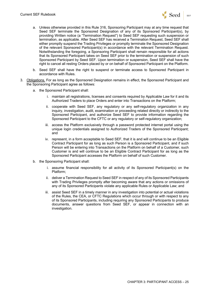

- a. Unless otherwise provided in this Rule 316, Sponsoring Participant may at any time request that Seed SEF terminate the Sponsored Designation of any of its Sponsored Participant(s), by providing Written notice (a "Termination Request") to Seed SEF requesting such suspension or termination, as applicable. After Seed SEF has received a Termination Request, Seed SEF shall either promptly suspend the Trading Privileges or promptly terminate the Sponsored Designation of the relevant Sponsored Participant(s) in accordance with the relevant Termination Request. Notwithstanding the foregoing, a Sponsoring Participant shall remain responsible for all actions that its Sponsored Participant takes on Seed SEF prior to the termination or suspension of such Sponsored Participant by Seed SEF. Upon termination or suspension, Seed SEF shall have the right to cancel all resting Orders placed by or on behalf of Sponsored Participant on the Platform.
- b. Seed SEF shall have the right to suspend or terminate access to Sponsored Participant in accordance with Rules.
- 3. Obligations. For as long as the Sponsored Designation remains in effect, the Sponsored Participant and the Sponsoring Participant agree as follows:
	- a. the Sponsored Participant shall:
		- i. maintain all registrations, licenses and consents required by Applicable Law for it and its Authorized Traders to place Orders and enter into Transactions on the Platform;
		- ii. cooperate with Seed SEF, any regulatory or any self-regulatory organization in any inquiry, investigation, audit, examination or proceeding related directly or indirectly to the Sponsored Participant, and authorize Seed SEF to provide information regarding the Sponsored Participant to the CFTC or any regulatory or self-regulatory organization;
		- iii. access the Platform exclusively through a password protected internet portal using the unique login credentials assigned to Authorized Traders of the Sponsored Participant; and
		- iv. represent, in a form acceptable to Seed SEF, that it is and will continue to be an Eligible Contract Participant for as long as such Person is a Sponsored Participant, and if such Person will be entering into Transactions on the Platform on behalf of a Customer, such Customer is and will continue to be an Eligible Contract Participant for as long as the Sponsored Participant accesses the Platform on behalf of such Customer.
	- b. the Sponsoring Participant shall:
		- i. assume financial responsibility for all activity of its Sponsored Participant(s) on the Platform;
		- ii. deliver a Termination Request to Seed SEF in respect of any of its Sponsored Participants with Trading Privileges promptly after becoming aware that any actions or omissions of any of its Sponsored Participants violate any applicable Rules or Applicable Law; and
		- iii. assist Seed SEF in a timely manner in any investigation into potential or actual violations of the Rules, the CEA, or CFTC Regulations which occur through or with respect to any of its Sponsored Participants, including requiring any Sponsored Participants to produce documents, answer questions from Seed SEF, or appear in connection with an investigation.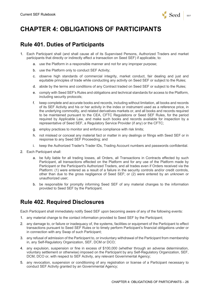

# **CHAPTER 4: OBLIGATIONS OF PARTICIPANTS**

#### **Rule 401. Duties of Participants**

- 1. Each Participant shall (and shall cause all of its Supervised Persons, Authorized Traders and market participants that directly or indirectly effect a transaction on Seed SEF) if applicable, to:
	- a. use the Platform in a responsible manner and not for any improper purpose;
	- b. use the Platform only to conduct SEF Activity;
	- c. observe high standards of commercial integrity, market conduct, fair dealing and just and equitable principles of trade while conducting any activity on Seed SEF or subject to the Rules;
	- d. abide by the terms and conditions of any Contract traded on Seed SEF or subject to the Rules;
	- e. comply with Seed SEF's Rules and obligations and technical standards for access to the Platform, including security protocols;
	- f. keep complete and accurate books and records, including without limitation, all books and records of its SEF Activity and his or her activity in the index or instrument used as a reference price, in the underlying commodity, and related derivatives markets or, and all books and records required to be maintained pursuant to the CEA, CFTC Regulations or Seed SEF Rules, for the period required by Applicable Law, and make such books and records available for inspection by a representative of Seed SEF, a Regulatory Service Provider (if any) or the CFTC;
	- g. employ practices to monitor and enforce compliance with risk limits;
	- h. not mislead or conceal any material fact or matter in any dealings or filings with Seed SEF or in response to any Seed SEF Proceeding; and
	- i. keep the Authorized Trader's Trader IDs, Trading Account numbers and passwords confidential.
- 2. Each Participant shall:
	- a. be fully liable for all trading losses, all Orders, all Transactions in Contracts effected by such Participant, all transactions effected on the Platform and for any use of the Platform made by Participant or the Participant's Authorized Traders, and all trades even if Orders received via the Platform: (1) were entered as a result of a failure in the security controls and/or credit controls, other than due to the gross negligence of Seed SEF; or (2) were entered by an unknown or unauthorized user;
	- b. be responsible for promptly informing Seed SEF of any material changes to the information provided to Seed SEF by the Participant.

# **Rule 402. Required Disclosures**

Each Participant shall immediately notify Seed SEF upon becoming aware of any of the following events:

- 1. any material change to the contact information provided to Seed SEF by the Participant;
- 2. any damage to, or failure or inadequacy of, the systems, facilities or equipment of the Participant to effect transactions pursuant to Seed SEF Rules or to timely perform Participant's financial obligations under or in connection with any Swap of such Participant;
- 3. any refusal of admission of the Participant to, or involuntary withdrawal of the Participant from membership in, any Self-Regulatory Organization, SEF, DCM or DCO;
- 4. any expulsion, suspension or fine in excess of \$100,000 (whether through an adverse determination, voluntary settlement or otherwise) imposed on the Participant by any Self-Regulatory Organization, SEF, DCM, DCO or, with respect to SEF Activity, any relevant Governmental Agency;
- 5. any revocation, suspension or conditioning of any registration or license of a Participant necessary to conduct SEF Activity granted by an Governmental Agency;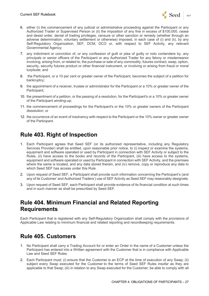

- 6. either (i) the commencement of any judicial or administrative proceeding against the Participant or any Authorized Trader or Supervised Person or (ii) the imposition of any fine in excess of \$100,000, cease and desist order, denial of trading privileges, censure or other sanction or remedy (whether through an adverse determination, voluntary settlement or otherwise) imposed, in each case of (i) and (ii), by any Self-Regulatory Organization, SEF, DCM, DCO or, with respect to SEF Activity, any relevant Governmental Agency;
- 7. any indictment or conviction of, or any confession of guilt or plea of guilty or nolo contendere by, any principals or senior officers of the Participant or any Authorized Trader for any felony or misdemeanor involving, arising from, or related to, the purchase or sale of any commodity, futures contract, swap, option, security, security futures product or other financial instrument, or involving or arising from fraud or moral turpitude; and
- 8. the Participant, or a 10 per cent or greater owner of the Participant, becomes the subject of a petition for bankruptcy;
- 9. the appointment of a receiver, trustee or administrator for the Participant or a 10% or greater owner of the Participant;
- 10. the presentment of a petition, or the passing of a resolution, for the Participant's or a 10% or greater owner of the Participant winding-up;
- 11. the commencement of proceedings for the Participant's or the 10% or greater owners of the Participant dissolution; or
- 12. the occurrence of an event of insolvency with respect to the Participant or the 10% owner or greater owner of the Participant.

# **Rule 403. Right of Inspection**

- 1. Each Participant agrees that Seed SEF (or its authorized representative, including any Regulatory Services Provider) shall be entitled, upon reasonable prior notice, to (i) inspect or examine the systems, equipment and software operated or used by Participant in connection with SEF Activity or subject to the Rules, (ii) have access to the books and records of the Participant, (iii) have access to the systems, equipment and software operated or used by Participant in connection with SEF Activity, and the premises where the same is located, and any data stored therein, and (iv) remove, copy or reproduce any data to which Seed SEF has access under this Rule.
- 2. Upon request of Seed SEF, a Participant shall provide such information concerning the Participant's (and any of its Customer' and Authorized Traders') use of SEF Activity as Seed SEF may reasonably designate.
- 3. Upon request of Seed SEF, each Participant shall provide evidence of its financial condition at such times and in such manner as shall be prescribed by Seed SEF.

#### **Rule 404. Minimum Financial and Related Reporting Requirements**

Each Participant that is registered with any Self-Regulatory Organization shall comply with the provisions of Applicable Law relating to minimum financial and related reporting and recordkeeping requirements.

### **Rule 405. Customers**

- 1. No Participant shall carry a Trading Account for or enter an Order in the name of a Customer unless the Participant has entered into a Written agreement with the Customer that is in compliance with Applicable Law and Seed SEF Rules.
- 2. Each Participant must; (i) ensure that the Customer is an ECP at the time of execution of any Swap; (ii) subject every Swap executed for the Customer to the terms of Seed SEF Rules insofar as they are applicable to that Swap; (iii) in relation to any Swap executed for the Customer, be able to comply with all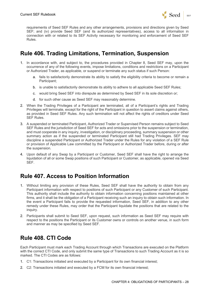

requirements of Seed SEF Rules and any other arrangements, provisions and directions given by Seed SEF; and (iv) provide Seed SEF (and its authorized representatives), access to all information in connection with or related to its SEF Activity necessary for monitoring and enforcement of Seed SEF Rules.

## **Rule 406. Trading Limitations, Termination, Suspension**

- 1. In accordance with, and subject to, the procedures provided in Chapter 8, Seed SEF may, upon the occurrence of any of the following events, impose limitations, conditions and restrictions on a Participant or Authorized Trader, as applicable, or suspend or terminate any such status if such Person:
	- a. fails to satisfactorily demonstrate its ability to satisfy the eligibility criteria to become or remain a Participant;
	- b. is unable to satisfactorily demonstrate its ability to adhere to all applicable Seed SEF Rules;
	- c. would bring Seed SEF into disrepute as determined by Seed SEF in its sole discretion or;
	- d. for such other cause as Seed SEF may reasonably determine.
- 2. When the Trading Privileges of a Participant are terminated, all of a Participant's rights and Trading Privileges will terminate, except for the right of the Participant in question to assert claims against others, as provided in Seed SEF Rules. Any such termination will not affect the rights of creditors under Seed SEF Rules.
- 3. A suspended or terminated Participant, Authorized Trader or Supervised Person remains subject to Seed SEF Rules and the jurisdiction of Seed SEF for acts and omissions prior to the suspension or termination, and must cooperate in any inquiry, investigation, or disciplinary proceeding, summary suspension or other summary action as if the suspended or terminated Participant still had Trading Privileges. SEF may discipline a suspended Participant or Authorized Trader under the Rules for any violation of a SEF Rule or provision of Applicable Law committed by the Participant or Authorized Trader before, during or after the suspension.
- 4. Upon default of any Swap by a Participant or Customer, Seed SEF shall have the right to arrange the liquidation of all or some Swap positions of such Participant or Customer, as applicable, opened via Seed SEF.

### **Rule 407. Access to Position Information**

- 1. Without limiting any provision of these Rules, Seed SEF shall have the authority to obtain from any Participant information with respect to positions of such Participant or any Customer of such Participant. This authority shall include the authority to obtain information concerning positions maintained at other firms, and it shall be the obligation of a Participant receiving such an inquiry to obtain such information. In the event a Participant fails to provide the requested information, Seed SEF, in addition to any other remedy under these Rules, may order that the Participant liquidate the positions that are related to the inquiry.
- 2. Participants shall submit to Seed SEF, upon request, such information as Seed SEF may require with respect to the positions the Participant or its Customer owns or controls on another venue, in such form and manner as may be specified by Seed SEF.

### **Rule 408. CTI Code**

Each Participant must mark each Trading Account through which Transactions are executed on the Platform with the correct CTI Code, and only submit the same type of Transactions to such Trading Account as it is so marked. The CTI Codes are as follows:

- 1. C1: Transactions initiated and executed by a Participant for its own financial interest;
- 2. C2: Transactions initiated and executed by a FCM for its own financial interest;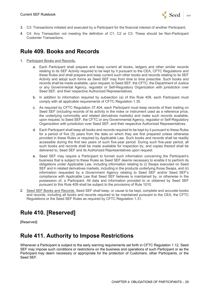

- 3. C3: Transactions initiated and executed by a Participant for the financial interest of another Participant;
- 4. C4: Any Transaction not meeting the definition of C1, C2 or C3. These should be Non-Participant Customer Transactions.

### **Rule 409. Books and Records**

- 1. Participant Books and Records.
	- a. Each Participant shall prepare and keep current all books, ledgers and other similar records relating to its SEF Activity required to be kept by it pursuant to the CEA, CFTC Regulations and these Rules and shall prepare and keep current such other books and records relating to its SEF Activity and adopt such forms as Seed SEF may from time to time prescribe. Such books and records shall be made available, upon request, to Seed SEF, the CFTC, the Department of Justice or any Governmental Agency, regulator or Self-Regulatory Organization with jurisdiction over Seed SEF, and their respective Authorized Representatives.
	- b. In addition to information required by subsection (a) of this Rule 409, each Participant must comply with all applicable requirements of CFTC Regulation 1.35.
	- c. As required by CFTC Regulation 37.404, each Participant must keep records of their trading on Seed SEF (including records of its activity in the index or instrument used as a reference price, the underlying commodity and related derivatives markets) and make such records available, upon request, to Seed SEF, the CFTC or any Governmental Agency, regulator or Self-Regulatory Organization with jurisdiction over Seed SEF, and their respective Authorized Representatives.
	- d. Each Participant shall keep all books and records required to be kept by it pursuant to these Rules for a period of five (5) years from the date on which they are first prepared unless otherwise provided in these Rules or required by Applicable Law. Such books and records shall be readily accessible during the first two years of such five-year period. During such five-year period, all such books and records shall be made available for inspection by, and copies thereof shall be delivered to, Seed SEF and its Authorized Representatives upon request.
	- e. Seed SEF may require a Participant to furnish such information concerning the Participant's business that is subject to these Rules as Seed SEF deems necessary to enable it to perform its obligations under Applicable Law, including information relating to (i) Swaps executed on Seed SEF and in related derivatives markets, including in the products underlying those Swaps, and (ii) information requested by a Government Agency relating to Seed SEF and/or Seed SEF's compliance with Applicable Law that Seed SEF believes is maintained by, or otherwise in the possession of, a Participant. All data and information provided to or obtained by Seed SEF pursuant to this Rule 409 shall be subject to the provisions of Rule 1010.
- 2. Seed SEF Books and Records. Seed SEF shall keep, or cause to be kept, complete and accurate books and records, including all books and records required to be maintained pursuant to the CEA, the CFTC Regulations or the Seed SEF Rules as required by CFTC Regulation 1.31.

# **Rule 410. [Reserved]**

[Reserved]

### **Rule 411. Authority to Impose Restrictions**

Whenever a Participant is subject to the early warning requirements set forth in CFTC Regulation 1.12, Seed SEF may impose such conditions or restrictions on the business and operations of such Participant or as the Participant may deem necessary or appropriate for the protection of Customers, other Participants, or the Seed SEF.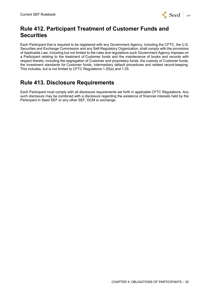

# **Rule 412. Participant Treatment of Customer Funds and Securities**

Each Participant that is required to be registered with any Government Agency, including the CFTC, the U.S. Securities and Exchange Commission and any Self-Regulatory Organization, shall comply with the provisions of Applicable Law, including but not limited to the rules and regulations such Government Agency imposes on a Participant relating to the treatment of Customer funds and the maintenance of books and records with respect thereto, including the segregation of Customer and proprietary funds, the custody of Customer funds, the investment standards for Customer funds, intermediary default procedures and related record-keeping. This includes, but is not limited to CFTC Regulations 1.20(a) and 1.25.

#### **Rule 413. Disclosure Requirements**

Each Participant must comply with all disclosure requirements set forth in applicable CFTC Regulations. Any such disclosure may be combined with a disclosure regarding the existence of financial interests held by the Participant in Seed SEF or any other SEF, DCM or exchange.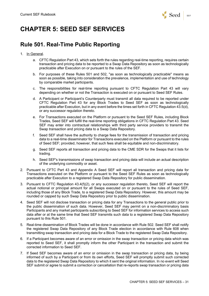

# **CHAPTER 5: SEED SEF SERVICES**

#### **Rule 501. Real-Time Public Reporting**

- 1. In General.
	- a. CFTC Regulation Part 43, which sets forth the rules regarding real-time reporting, requires certain transaction and pricing data to be reported to a Swap Data Repository as soon as technologically practicable after Execution on or pursuant to the rules of the SEF.
	- b. For purposes of these Rules 501 and 502, "as soon as technologically practicable" means as soon as possible, taking into consideration the prevalence, implementation and use of technology by comparable market participants.
	- c. The responsibilities for real-time reporting pursuant to CFTC Regulation Part 43 will vary depending on whether or not the Transaction is executed on or pursuant to Seed SEF Rules.
	- d. A Participant or Participant's Counterparty must transmit all data required to be reported under CFTC Regulation Part 43 for any Block Trades to Seed SEF as soon as technologically practicable after Execution, but in any event before the times set forth in CFTC Regulation 43.5(d), or any successor regulation thereto.
	- e. For Transactions executed on the Platform or pursuant to the Seed SEF Rules, including Block Trades, Seed SEF will fulfill the real-time reporting obligations in CFTC Regulation Part 43. Seed SEF may enter into contractual relationships with third party service providers to transmit the Swap transaction and pricing data to a Swap Data Repository.
	- f. Seed SEF shall have the authority to charge fees for the transmission of transaction and pricing data to a real-time disseminator for Transactions executed on the Platform or pursuant to the rules of Seed SEF; provided, however, that such fees shall be equitable and non-discriminatory.
	- g. Seed SEF reports all transaction and pricing data to the CME SDR for the Swaps that it lists for trading.
	- h. Seed SEF's transmissions of swap transaction and pricing data will include an actual description of the underlying commodity or asset.
- 2. Pursuant to CFTC Part 43 and Appendix A Seed SEF will report all transaction and pricing data for Transactions executed on the Platform or pursuant to the Seed SEF Rules as soon as technologically practicable after Execution to a registered Swap Data Repository for public dissemination.
- 3. Pursuant to CFTC Regulation 43.4(f)(2), or any successor regulation thereto, Seed SEF will report the actual notional or principal amount for all Swaps executed on or pursuant to the rules of Seed SEF, including those of any Block Trade, to a registered Swap Data Repository. However, this amount may be rounded or capped by such Swap Data Repository prior to public dissemination.
- 4. Seed SEF will not disclose transaction or pricing data for any Transactions to the general public prior to the public dissemination of such data. However, Seed SEF may permit on a non-discriminatory basis Participants and any market participants subscribing to Seed SEF for information services to access such data after or at the same time that Seed SEF transmits such data to a registered Swap Data Repository pursuant to this Rule 501.
- 5. Real-time dissemination of Block Trades will be done in accordance with Rule 502. Seed SEF shall notify the registered Swap Data Repository of any Block Trade election in accordance with Rule 608 when transmitting swap transaction and pricing data for a Block Trade to the registered Swap Data Repository.
- 6. If a Participant becomes aware of an error or omission in the swap transaction or pricing data which was reported to Seed SEF, it shall promptly inform the other Participant in the transaction and submit the corrected information to Seed SEF.
- 7. If Seed SEF becomes aware of an error or omission in the swap transaction or pricing data, by being informed of such by a Participant or from its own efforts, Seed SEF will promptly submit such corrected data to the registered Swap Data Repository to which it sent the original information. In no event will Seed SEF submit or agree to submit a correction or cancellation that re-reports swap transaction or pricing data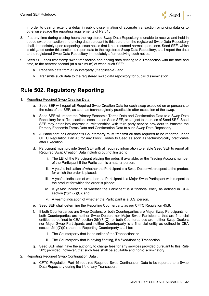

in order to gain or extend a delay in public dissemination of accurate transaction or pricing data or to otherwise evade the reporting requirements of Part 43.

- 8. If at any time during closing hours the registered Swap Data Repository is unable to receive and hold in queue swap transaction and pricing data pursuant to this part, then the registered Swap Data Repository shall, immediately upon reopening, issue notice that it has resumed normal operations. Seed SEF, which is obligated under this section to report data to the registered Swap Data Repository, shall report the data to the registered Swap Data Repository immediately after receiving such notice.
- 9. Seed SEF shall timestamp swap transaction and pricing data relating to a Transaction with the date and time, to the nearest second (at a minimum) of when such SEF:
	- a. Receives data from a Counterparty (if applicable); and
	- b. Transmits such data to the registered swap data repository for public dissemination.

#### **Rule 502. Regulatory Reporting**

- 1. Reporting Required Swap Creation Data .
	- a. Seed SEF will report all Required Swap Creation Data for each swap executed on or pursuant to the rules of the SEF, as soon as technologically practicable after execution of the swap.
	- b. Seed SEF will report the Primary Economic Terms Data and Confirmation Data to a Swap Data Repository for all Transactions executed on Seed SEF, or subject to the rules of Seed SEF. Seed SEF may enter into contractual relationships with third party service providers to transmit the Primary Economic Terms Data and Confirmation Data to such Swap Data Repository.
	- c. A Participant or Participant's Counterparty must transmit all data required to be reported under CFTC Regulation Part 45 for any Block Trades to Seed as soon as technologically practicable after Execution.
	- d. Participant must provide Seed SEF with all required information to enable Seed SEF to report all Required Swap Creation Data including but not limited to:
		- i. The LEI of the Participant placing the order, if available, or the Trading Account number of the Participant if the Participant is a natural person;
		- ii. A yes/no indication of whether the Participant is a Swap Dealer with respect to the product for which the order is placed;
		- iii. A yes/no indication of whether the Participant is a Major Swap Participant with respect to the product for which the order is placed;
		- iv. A yes/no indication of whether the Participant is a financial entity as defined in CEA section  $(2)(h)(7)(C)$ ; and
		- v. A yes/no indication of whether the Participant is a U.S. person.
	- e. Seed SEF shall determine the Reporting Counterparty as per CFTC Regulation 45.8.
	- f. If both Counterparties are Swap Dealers, or both Counterparties are Major Swap Participants, or both Counterparties are neither Swap Dealers nor Major Swap Participants that are financial entities as defined in CEA section 2(h)(7)(C), or both Counterparties are neither Swap Dealers nor Major Swap Participants and neither Counterparty is a financial entity as defined in CEA section 2(h)(7)(C), then the Reporting Counterparty shall be:
		- i. The Counterparty that is the seller of the Transaction; or
		- ii. The Counterparty that is paying floating, if a fixed/floating Transaction.
	- g. Seed SEF shall have the authority to charge fees for any services provided pursuant to this Rule 502; provided, however, that such fees shall be equitable and non-discriminatory.
- 2. Reporting Required Swap Continuation Data .
	- a. CFTC Regulation Part 45 requires Required Swap Continuation Data to be reported to a Swap Data Repository during the life of any Transaction.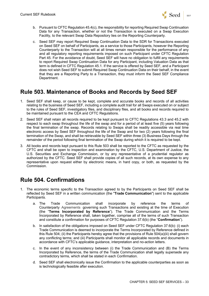

- b. Pursuant to CFTC Regulation 45.4(c), the responsibility for reporting Required Swap Continuation Data for any Transaction, whether or not the Transaction is executed on a Swap Execution Facility, to the relevant Swap Data Repository lies on the Reporting Counterparty.
- c. Seed SEF may report Required Swap Continuation Data to the SDR for Transactions executed on Seed SEF on behalf of Participants, as a service to those Participants, however the Reporting Counterparty to the Transaction will at all times remain responsible for the performance of any and all regulatory reporting requirements imposed on such Participant under CFTC Regulation Part 45. For the avoidance of doubt, Seed SEF will have no obligation to fulfill any requirements to report Required Swap Continuation Data for any Participant, including Valuation Data as that term is defined in CFTC Regulation 45.1. If the service is offered by Seed SEF, and a Participant does not wish Seed SEF to submit Required Swap Continuation Data on their behalf, in the event that they are a Reporting Party to a Transaction, they must inform the Seed SEF Compliance Department.

#### **Rule 503. Maintenance of Books and Records by Seed SEF**

- 1. Seed SEF shall keep, or cause to be kept, complete and accurate books and records of all activities relating to the business of Seed SEF, including a complete audit trail for all Swaps executed on or subject to the rules of Seed SEF, investigatory files, and disciplinary files, and all books and records required to be maintained pursuant to the CEA and CFTC Regulations.
- 2. Seed SEF shall retain all records required to be kept pursuant to CFTC Regulations 43.3 and 45.2 with respect to each swap throughout the life of the swap and for a period of at least five (5) years following the final termination of the swap. Records relating to Swaps shall be readily accessible via real time electronic access by Seed SEF throughout the life of the Swap and for two (2) years following the final termination of the Swap, and shall be retrievable by Seed SEF within three (3) Business Days through the remainder of the period following final termination of the Swap during which it is required to be kept.
- 3. All books and records kept pursuant to this Rule 503 shall be reported to the CFTC as requested by the CFTC and shall be open to inspection and examination by the CFTC, U.S. Department of Justice, the U.S. Securities and Exchange Commission, or by any representative of a prudential regulator as authorized by the CFTC. Seed SEF shall provide copies of all such records, at its own expense to any representative upon request either by electronic means, in hard copy, or both, as requested by the Commission.

### **Rule 504. Confirmations**

- 1. The economic terms specific to the Transaction agreed to by the Participants on Seed SEF shall be reflected by Seed SEF in a written communication (the "**Trade Communication**") sent to the applicable Participants.
	- a. The Trade Communication shall incorporate by reference the terms of Counterparty Agreements governing such Transactions and existing at the time of Execution (the "**Terms Incorporated by Reference**"). The Trade Communication and the Terms Incorporated by Reference shall, taken together, comprise all of the terms of such Transaction and constitute a confirmation for purposes of CFTC Regulation 37.6(b) (the "**Confirmation**").
	- b. In satisfaction of the obligations imposed on Seed SEF under CFTC Regulation 37.6(b): (i) each Trade Communication is deemed to incorporate the Terms Incorporated by Reference defined in this Rule 504; (ii) the Participants hereby agree that the provisions of Rule 504(a)(iii) shall govern any conflicting terms; and (iii) Participants shall monitor all applicable records and documents in accordance with CFTC's applicable guidance, interpretation and no-action letters.
	- c. In the event of any inconsistency between (i) the Trade Communication and (B) the Terms Incorporated by Reference, the terms of the Trade Communication shall legally supersede any contradictory terms, which shall be stated in each Confirmation.
	- d. Seed SEF shall electronically issue the Confirmation to the applicable counterparties as soon as is technologically feasible after execution.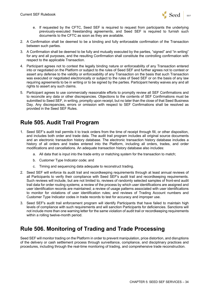

- e. If requested by the CFTC, Seed SEF is required to request from participants the underlying previously-executed freestanding agreements, and Seed SEF is required to furnish such documents to the CFTC as soon as they are available.
- 2. A Confirmation shall be deemed to be a binding and fully enforceable confirmation of the Transaction between such parties.
- 3. A Confirmation shall be deemed to be fully and mutually executed by the parties, "signed" and "in writing" for any and all purposes, and the resulting Confirmation shall constitute the controlling confirmation with respect to the applicable Transaction.
- 4. Participant agrees not to contest the legally binding nature or enforceability of any Transaction entered into or negotiated on the Platform or subject to the rules of Seed SEF and further agrees not to contest or assert any defense to the validity or enforceability of any Transaction on the basis that such Transaction was executed or negotiated electronically or subject to the rules of Seed SEF or on the basis of any law requiring agreements to be in writing or to be signed by the parties. Participant hereby waives any and all rights to assert any such claims.
- 5. Participant agrees to use commercially reasonable efforts to promptly review all SEF Confirmations and to reconcile any data or other discrepancies. Objections to the contents of SEF Confirmations must be submitted to Seed SEF, in writing, promptly upon receipt, but no later than the close of that Seed Business Day. Any discrepancies, errors or omission with respect to SEF Confirmations shall be resolved as provided in the Seed SEF Rules.

### **Rule 505. Audit Trail Program**

- 1. Seed SEF's audit trail permits it to track orders from the time of receipt through fill, or other disposition, and includes both order and trade data. The audit trail program includes all original source documents and an electronic transaction history database. The electronic transaction history database includes a history of all orders and trades entered into the Platform, including all orders, trades, and order modifications and cancellations. An adequate transaction history database also includes:
	- a. All data that is input into the trade entry or matching system for the transaction to match;
	- b. Customer Type Indicator code; and
	- c. Timing and sequencing data adequate to reconstruct trading.
- 2. Seed SEF will enforce its audit trail and recordkeeping requirements through at least annual reviews of all Participants to verify their compliance with Seed SEF's audit trail and recordkeeping requirements. Such reviews will include, but are not limited to, reviews of randomly selected samples of front-end audit trail data for order routing systems; a review of the process by which user identifications are assigned and user identification records are maintained; a review of usage patterns associated with user identifications to monitor for violations of user identification rules; and reviews of Trading Account numbers and Customer Type Indicator codes in trade records to test for accuracy and improper use.
- 3. Seed SEF's audit trail enforcement program will identify Participants that have failed to maintain high levels of compliance with such requirements and will sanction Participants for deficiencies. Sanctions will not include more than one warning letter for the same violation of audit trail or recordkeeping requirements within a rolling twelve-month period.

### **Rule 506. Monitoring of Trading and Trade Processing**

Seed SEF will monitor trading on the Platform in order to prevent manipulation, price distortion, and disruptions of the delivery or cash settlement process through surveillance, compliance, and disciplinary practices and procedures, including through the real-time monitoring of trading, and comprehensive trade reconstruction.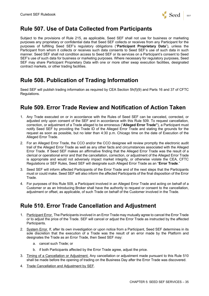

# **Rule 507. Use of Data Collected from Participants**

Subject to the provisions of Rule 215, as applicable, Seed SEF shall not use for business or marketing purposes any proprietary or confidential data that Seed SEF collects or receives from any Participant for the purposes of fulfilling Seed SEF's regulatory obligations ("**Participant Proprietary Data**"), unless the Participant from whom it collects or receives such data consents to Seed SEF's use of such data in such manner. Seed SEF shall not condition access to Seed SEF or its services on a Participant's consent to Seed SEF's use of such data for business or marketing purposes. Where necessary for regulatory purposes, Seed SEF may share Participant Proprietary Data with one or more other swap execution facilities, designated contract markets, or other trading facilities.

# **Rule 508. Publication of Trading Information**

Seed SEF will publish trading information as required by CEA Section 5h(f)(9) and Parts 16 and 37 of CFTC Regulations.

### **Rule 509. Error Trade Review and Notification of Action Taken**

- 1. Any Trade executed on or in accordance with the Rules of Seed SEF can be canceled, corrected, or adjusted only upon consent of the SEF and in accordance with this Rule 509. To request cancellation, correction, or adjustment of a Trade alleged to be erroneous ("**Alleged Error Trade"**), a Participant must notify Seed SEF by providing the Trade ID of the Alleged Error Trade and stating the grounds for the request as soon as possible, but no later than 4:30 p.m. Chicago time on the date of Execution of the Alleged Error Trade.
- 2. For an Alleged Error Trade, the CCO and/or the CCO designee will review promptly the electronic audit trail of the Alleged Error Trade as well as any other facts and circumstances associated with the Alleged Error Trade. If Seed SEF makes an affirmative finding that the Alleged Error Trade was the result of a clerical or operational error and that the cancellation, correction, or adjustment of the Alleged Error Trade is appropriate and would not adversely impact market integrity, or otherwise violate the CEA, CFTC Regulations or SEF Rules, Seed SEF will designate such Alleged Error Trade as an "**Error Trade**."
- 3. Seed SEF will inform affected Participants of the Error Trade and of the next steps that the Participants must or could make. Seed SEF will also inform the affected Participants of the final disposition of the Error Trade.
- 4. For purposes of this Rule 509, a Participant involved in an Alleged Error Trade and acting on behalf of a Customer or as an Introducing Broker shall have the authority to request or consent to the cancellation, adjustment or offset, as applicable, of such Trade on behalf of the Customer involved in the Trade.

### **Rule 510. Error Trade Cancellation and Adjustment**

- 1. Participant Error. The Participants involved in an Error Trade may mutually agree to cancel the Error Trade or to adjust the price of the Trade. SEF will cancel or adjust the Error Trade as instructed by the affected Participants.
- 2. System Error. If, after its own investigation or upon notice from a Participant, Seed SEF determines in its sole discretion that the execution of a Trade was the result of an error made by the Platform and designates the Trade as an Error Trade, then Seed SEF may:
	- a. cancel such Trade; or
	- b. if both Participants affected by the Error Trade agree, adjust the price.
- 3. Timing of a Cancellation or Adjustment. Any cancellation or adjustment made pursuant to this Rule 510 shall be made before the opening of trading on the Business Day after the Error Trade was discovered.
- 4. Trade Cancellation and Adjustment by SEF.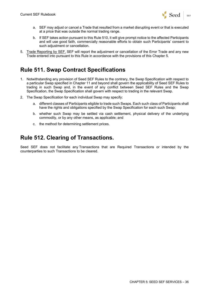

- a. SEF may adjust or cancel a Trade that resulted from a market disrupting event or that is executed at a price that was outside the normal trading range.
- b. If SEF takes action pursuant to this Rule 510, it will give prompt notice to the affected Participants and will use good faith, commercially reasonable efforts to obtain such Participants' consent to such adjustment or cancellation.
- 5. Trade Reporting by SEF. SEF will report the adjustment or cancellation of the Error Trade and any new Trade entered into pursuant to this Rule in accordance with the provisions of this Chapter 5.

#### **Rule 511. Swap Contract Specifications**

- 1. Notwithstanding any provision of Seed SEF Rules to the contrary, the Swap Specification with respect to a particular Swap specified in Chapter 11 and beyond shall govern the applicability of Seed SEF Rules to trading in such Swap and, in the event of any conflict between Seed SEF Rules and the Swap Specification, the Swap Specification shall govern with respect to trading in the relevant Swap.
- 2. The Swap Specification for each individual Swap may specify:
	- a. different classes of Participants eligible to trade such Swaps. Each such class of Participants shall have the rights and obligations specified by the Swap Specification for each such Swap;
	- b. whether such Swap may be settled via cash settlement, physical delivery of the underlying commodity, or by any other means, as applicable; and
	- c. the method for determining settlement prices.

# **Rule 512. Clearing of Transactions.**

Seed SEF does not facilitate any Transactions that are Required Transactions or intended by the counterparties to such Transactions to be cleared.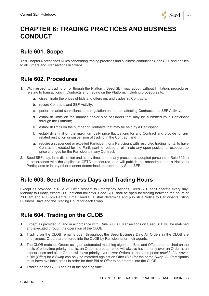

# **CHAPTER 6: TRADING PRACTICES AND BUSINESS CONDUCT**

### **Rule 601. Scope**

This Chapter 6 prescribes Rules concerning trading practices and business conduct on Seed SEF and applies to all Orders and Transactions in Swaps.

### **Rule 602. Procedures**

- 1. With respect to trading on or though the Platform, Seed SEF may adopt, without limitation, procedures relating to transactions in Contracts and trading on the Platform, including procedures to:
	- a. disseminate the prices of bids and offers on, and trades in, Contracts;
	- b. record Contracts and SEF Activity;
	- c. perform market surveillance and regulation on matters affecting Contracts and SEF Activity;
	- d. establish limits on the number and/or size of Orders that may be submitted by a Participant through the Platform;
	- e. establish limits on the number of Contracts that may be held by a Participant;
	- f. establish a limit on the maximum daily price fluctuations for any Contract and provide for any related restriction or suspension of trading in the Contract; and
	- g. require a suspended or expelled Participant, or a Participant with restricted trading rights, to have Contracts executed for the Participant to reduce or eliminate any open position or exposure to price changes for the Participant in any Contract.
- 2. Seed SEF may, in its discretion and at any time, amend any procedures adopted pursuant to Rule 602(a) in accordance with the applicable CFTC procedures, and will publish the amendments in a Notice to Participants or in any other manner determined appropriate by Seed SEF.

### **Rule 603. Seed Business Days and Trading Hours**

Except as provided in Rule 210 with respect to Emergency Actions, Seed SEF shall operate every day, Monday to Friday, except U.S. national holidays. Seed SEF shall be open for trading between the hours of 7:00 am and 4:00 pm Central Time. Seed SEF shall determine and publish a Notice to Participants listing Business Days and the Trading Hours for each Swap.

### **Rule 604. Trading on the CLOB**

- 1. Except as provided in, and in accordance with, Rule 608, all Transactions on Seed SEF will be matched and executed through the operation of the CLOB.
- 2. Trading on the CLOB remains open throughout the Seed Business Day. All Orders in the CLOB are anonymous. Orders are entered into the CLOB by Participants or their agents.
- 3. The CLOB matches Orders using an automated matching algorithm. Bids and Offers are matched on the basis of price/time priority; that is, an Order at a better price will always have priority over an Order at an inferior price and older Orders will have priority over newer Orders at the same price; *provided however*, a Bid (Offer) for a Swap can only be matched against an Offer (Bid) for the same Swap. All Participants must have available credit in order for their Bid or Offer to be entered into the CLOB.
- 4. Trading on the CLOB begins at the opening time.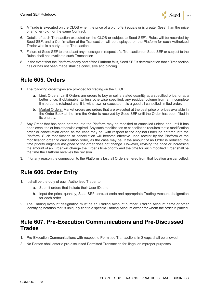

- 5. A Trade is executed on the CLOB when the price of a bid (offer) equals or is greater (less) than the price of an offer (bid) for the same Contract.
- 6. Details of each Transaction executed on the CLOB or subject to Seed SEF's Rules will be recorded by Seed SEF, and a Confirmation of the Transaction will be displayed on the Platform for each Authorized Trader who is a party to the Transaction.
- 7. Failure of Seed SEF to broadcast any message in respect of a Transaction on Seed SEF or subject to the Rules shall not invalidate such Transaction.
- 8. In the event that the Platform or any part of the Platform fails, Seed SEF's determination that a Transaction has or has not been made shall be conclusive and binding.

# **Rule 605. Orders**

- 1. The following order types are provided for trading on the CLOB:
	- a. Limit Orders. Limit Orders are orders to buy or sell a stated quantity at a specified price, or at a better price, if obtainable. Unless otherwise specified, any residual volume from an incomplete limit order is retained until it is withdrawn or executed. It is a good till cancelled limited order.
	- b. Market Orders. Market orders are orders that are executed at the best price or prices available in the Order Book at the time the Order is received by Seed SEF until the Order has been filled in its entirety.
- 2. Any Order that has been entered into the Platform may be modified or cancelled unless and until it has been executed or has otherwise expired. Any such modification or cancellation requires that a modification order or cancellation order, as the case may be, with respect to the original Order be entered into the Platform. Such modification or cancellation will become effective upon receipt by the Platform of the modification order or cancellation order, as the case may be. If the amount of an Order is reduced, the time priority originally assigned to the order does not change. However, revising the price or increasing the amount of an Order will change the Order's time priority and the time for such modified Order shall be the time the Platform receives the revision.
- 3. If for any reason the connection to the Platform is lost, all Orders entered from that location are cancelled.

# **Rule 606. Order Entry**

- 1. It shall be the duty of each Authorized Trader to:
	- a. Submit orders that include their User ID; and
	- b. Input the price, quantity, Seed SEF contract code and appropriate Trading Account designation for each order.
- 2. The Trading Account designation must be an Trading Account number, Trading Account name or other identifying notation that is uniquely tied to a specific Trading Account owner for whom the order is placed.

#### **Rule 607. Pre-Execution Communications and Pre-Discussed Trades**

- 1. Pre-Execution Communications with respect to Permitted Transactions in Swaps shall be allowed.
- 2. No Person shall enter a pre-discussed Permitted Transaction for illegal or improper purposes.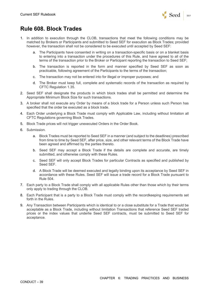

# **Rule 608. Block Trades**

- 1. In addition to execution through the CLOB, transactions that meet the following conditions may be matched by Brokers or Participants and submitted to Seed SEF for execution as Block Trades; provided however, the transaction shall not be considered to be executed until accepted by Seed SEF:
	- a. The Participants have consented in writing on a transaction-specific basis or on a blanket basis to entering into a transaction under the procedures of this Rule, and have agreed to all of the terms of the transaction prior to the Broker or Participant reporting the transaction to Seed SEF;
	- b. The transaction is reported in the form and manner specified by Seed SEF as soon as practicable, following agreement of the Participants to the terms of the transaction;
	- c. The transaction may not be entered into for illegal or improper purposes; and
	- d. The Broker must keep full, complete and systematic records of the transaction as required by CFTC Regulation 1.35.
- 2. Seed SEF shall designate the products in which block trades shall be permitted and determine the Appropriate Minimum Block Size for such transactions.
- 3. A broker shall not execute any Order by means of a block trade for a Person unless such Person has specified that the order be executed as a block trade.
- 4. Each Order underlying a Block Trade must comply with Applicable Law, including without limitation all CFTC Regulations governing Block Trades.
- 5. Block Trade prices will not trigger unexecuted Orders in the Order Book.
- 6. Submission.
	- a. Block Trades must be reported to Seed SEF in a manner (and subject to the deadlines) prescribed from time to time by Seed SEF, after price, size, and other relevant terms of the Block Trade have been agreed and affirmed by the parties thereto.
	- b. Seed SEF may accept a Block Trade if the details are complete and accurate, are timely submitted, and otherwise comply with these Rules.
	- c. Seed SEF will only accept Block Trades for particular Contracts as specified and published by Seed SEF.
	- d. A Block Trade will be deemed executed and legally binding upon its acceptance by Seed SEF in accordance with these Rules. Seed SEF will issue a trade record for a Block Trade pursuant to Rule 504.
- 7. Each party to a Block Trade shall comply with all applicable Rules other than those which by their terms only apply to trading through the CLOB.
- 8. Each Participant that is a party to a Block Trade must comply with the recordkeeping requirements set forth in the Rules.
- 9. Any Transaction between Participants which is identical to or a close substitute for a Trade that would be acceptable as a Block Trade, including without limitation Transactions that reference Seed SEF traded prices or the index values that underlie Seed SEF contracts, must be submitted to Seed SEF for acceptance.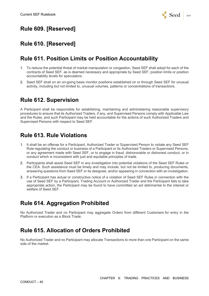

# **Rule 609. [Reserved]**

## **Rule 610. [Reserved]**

#### **Rule 611. Position Limits or Position Accountability**

- 1. To reduce the potential threat of market manipulation or congestion, Seed SEF shall adopt for each of the contracts of Seed SEF, as is deemed necessary and appropriate by Seed SEF, position limits or position accountability levels for speculators.
- 2. Seed SEF shall on an on-going basis monitor positions established on or through Seed SEF for unusual activity, including but not limited to, unusual volumes, patterns or concentrations of transactions.

# **Rule 612. Supervision**

A Participant shall be responsible for establishing, maintaining and administering reasonable supervisory procedures to ensure that its Authorized Traders, if any, and Supervised Persons comply with Applicable Law and the Rules, and such Participant may be held accountable for the actions of such Authorized Traders and Supervised Persons with respect to Seed SEF.

# **Rule 613. Rule Violations**

- 1. It shall be an offense for a Participant, Authorized Trader or Supervised Person to violate any Seed SEF Rule regulating the conduct or business of a Participant or its Authorized Traders or Supervised Persons, or any agreement made with Seed SEF, or to engage in fraud, dishonorable or dishonest conduct, or in conduct which is inconsistent with just and equitable principles of trade.
- 2. Participants shall assist Seed SEF in any investigation into potential violations of the Seed SEF Rules or the CEA. Such assistance must be timely and may include, but not be limited to, producing documents, answering questions from Seed SEF or its designee, and/or appearing in connection with an investigation.
- 3. If a Participant has actual or constructive notice of a violation of Seed SEF Rules in connection with the use of Seed SEF by a Participant, Trading Account or Authorized Trader and the Participant fails to take appropriate action, the Participant may be found to have committed an act detrimental to the interest or welfare of Seed SEF.

# **Rule 614. Aggregation Prohibited**

No Authorized Trader and no Participant may aggregate Orders from different Customers for entry in the Platform or execution as a Block Trade.

### **Rule 615. Allocation of Orders Prohibited**

No Authorized Trader and no Participant may allocate Transactions to more than one Participant on the same side of the market.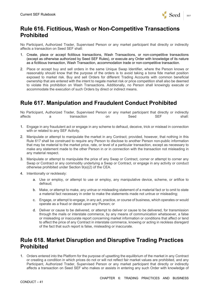

#### **Rule 616. Fictitious, Wash or Non-Competitive Transactions Prohibited**

No Participant, Authorized Trader, Supervised Person or any market participant that directly or indirectly affects a transaction on Seed SEF shall:

- 1. Create, place or accept fictitious transactions, Wash Transactions, or non-competitive transactions (except as otherwise authorized by Seed SEF Rules), or execute any Order with knowledge of its nature as a fictitious transaction, Wash Transaction, accommodation trade or non-competitive transaction.
- 2. Place or accept buy and sell orders in the same Unique Swap Identifier, where the Person knows or reasonably should know that the purpose of the orders is to avoid taking a bona fide market position exposed to market risk. Buy and sell Orders for different Trading Accounts with common beneficial ownership that are entered with the intent to negate market risk or price competition shall also be deemed to violate this prohibition on Wash Transactions. Additionally, no Person shall knowingly execute or accommodate the execution of such Orders by direct or indirect means.

### **Rule 617. Manipulation and Fraudulent Conduct Prohibited**

No Participant, Authorized Trader, Supervised Person or any market participant that directly or indirectly affects a transaction on Seed SEF shall:

- 1. Engage in any fraudulent act or engage in any scheme to defraud, deceive, trick or mislead in connection with or related to any SEF Activity.
- 2. Manipulate or attempt to manipulate the market in any Contract; provided, however, that nothing in this Rule 617 shall be construed to require any Person to disclose to another Person non-public information that may be material to the market price, rate, or level of a particular transaction, except as necessary to make any statement made to the other Person in or in connection with the transaction not misleading in any material respect.
- 3. Manipulate or attempt to manipulate the price of any Swap or Contract, corner or attempt to corner any Swap or Contract or any commodity underlying a Swap or Contract, or engage in any activity or conduct otherwise prohibited under Section 9(a)(2) of the CEA.
- 4. Intentionally or recklessly:
	- a. Use or employ, or attempt to use or employ, any manipulative device, scheme, or artifice to defraud;
	- b. Make, or attempt to make, any untrue or misleading statement of a material fact or to omit to state a material fact necessary in order to make the statements made not untrue or misleading;
	- c. Engage, or attempt to engage, in any act, practice, or course of business, which operates or would operate as a fraud or deceit upon any Person; or
	- d. Deliver or cause to be delivered, or attempt to deliver or cause to be delivered, for transmission through the mails or interstate commerce, by any means of communication whatsoever, a false or misleading or inaccurate report concerning market information or conditions that affect or tend to affect the price of any Contract in interstate commerce, knowing or acting in reckless disregard of the fact that such report is false, misleading or inaccurate.

#### **Rule 618. Market Disruption and Disruptive Trading Practices Prohibited**

1. Orders entered into the Platform for the purpose of upsetting the equilibrium of the market in any Contract or creating a condition in which prices do not or will not reflect fair market values are prohibited, and any Participant, Authorized Trader, Supervised Person or any market participant that directly or indirectly affects a transaction on Seed SEF who makes or assists in entering any such Order with knowledge of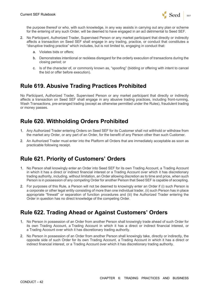

the purpose thereof or who, with such knowledge, in any way assists in carrying out any plan or scheme for the entering of any such Order, will be deemed to have engaged in an act detrimental to Seed SEF.

- 2. No Participant, Authorized Trader, Supervised Person or any market participant that directly or indirectly affects a transaction on Seed SEF shall engage in any trading, practice, or conduct that constitutes a "disruptive trading practice" which includes, but is not limited to, engaging in conduct that:
	- a. Violates bids or offers;
	- b. Demonstrates intentional or reckless disregard for the orderly execution of transactions during the closing period; or
	- c. Is of the character of, or commonly known as, "spoofing" (bidding or offering with intent to cancel the bid or offer before execution).

### **Rule 619. Abusive Trading Practices Prohibited**

No Participant, Authorized Trader, Supervised Person or any market participant that directly or indirectly affects a transaction on Seed SEF shall engage in any abusive trading practices, including front-running, Wash Transactions, pre-arranged trading (except as otherwise permitted under the Rules), fraudulent trading or money passes.

### **Rule 620. Withholding Orders Prohibited**

- 1. Any Authorized Trader entering Orders on Seed SEF for its Customer shall not withhold or withdraw from the market any Order, or any part of an Order, for the benefit of any Person other than such Customer.
- 2. An Authorized Trader must enter into the Platform all Orders that are immediately acceptable as soon as practicable following receipt.

### **Rule 621. Priority of Customers' Orders**

- 1. No Person shall knowingly enter an Order into Seed SEF for its own Trading Account, a Trading Account in which it has a direct or indirect financial interest or a Trading Account over which it has discretionary trading authority, including, without limitation, an Order allowing discretion as to time and price, when such Person is in possession of any competing Order for another Person that Seed SEF is capable of accepting.
- 2. For purposes of this Rule, a Person will not be deemed to knowingly enter an Order if (i) such Person is a corporate or other legal entity consisting of more than one individual trader, (ii) such Person has in place appropriate "firewall" or separation of function procedures and (iii) the Authorized Trader entering the Order in question has no direct knowledge of the competing Order.

#### **Rule 622. Trading Ahead or Against Customers' Orders**

- 1. No Person in possession of an Order from another Person shall knowingly trade ahead of such Order for its own Trading Account, a Trading Account in which it has a direct or indirect financial interest, or a Trading Account over which it has discretionary trading authority.
- 2. No Person in possession of an Order from another Person shall knowingly take, directly or indirectly, the opposite side of such Order for its own Trading Account, a Trading Account in which it has a direct or indirect financial interest, or a Trading Account over which it has discretionary trading authority.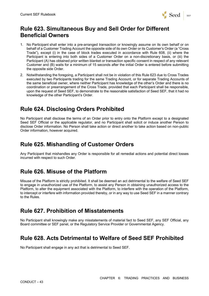

## **Rule 623. Simultaneous Buy and Sell Order for Different Beneficial Owners**

- 1. No Participant shall enter into a pre-arranged transaction or knowingly assume on its own behalf or on behalf of a Customer Trading Account the opposite side of its own Order or its Customer's Order (a "Cross Trade"), except (i) in the case of block trades executed in accordance with Rule 608, (ii) where the Participant is entering into both sides of a Customer Order on a non-discretionary basis, or (iii) the Participant (A) has obtained prior written blanket or transaction specific consent in respect of any relevant Customer and (B) waits for a minimum of 15 seconds after the initial Order is entered before submitting the opposite side Order.
- 2. Notwithstanding the foregoing, a Participant shall not be in violation of this Rule 623 due to Cross Trades executed by two Participants trading for the same Trading Account, or for separate Trading Accounts of the same beneficial owner, where neither Participant has knowledge of the other's Order and there is no coordination or prearrangement of the Cross Trade, provided that each Participant shall be responsible, upon the request of Seed SEF, to demonstrate to the reasonable satisfaction of Seed SEF, that it had no knowledge of the other Participant's Order.

# **Rule 624. Disclosing Orders Prohibited**

No Participant shall disclose the terms of an Order prior to entry onto the Platform except to a designated Seed SEF Official or the applicable regulator, and no Participant shall solicit or induce another Person to disclose Order information. No Person shall take action or direct another to take action based on non-public Order information, however acquired.

#### **Rule 625. Mishandling of Customer Orders**

Any Participant that mishandles any Order is responsible for all remedial actions and potential direct losses incurred with respect to such Order.

# **Rule 626. Misuse of the Platform**

Misuse of the Platform is strictly prohibited. It shall be deemed an act detrimental to the welfare of Seed SEF to engage in unauthorized use of the Platform, to assist any Person in obtaining unauthorized access to the Platform, to alter the equipment associated with the Platform, to interfere with the operation of the Platform, to intercept or interfere with information provided thereby, or in any way to use Seed SEF in a manner contrary to the Rules.

### **Rule 627. Prohibition of Misstatements**

No Participant shall knowingly make any misstatements of material fact to Seed SEF, any SEF Official, any Board committee or SEF panel, or the Regulatory Service Provider or Governmental Agency.

### **Rule 628. Acts Detrimental to Welfare of Seed SEF Prohibited**

No Participant shall engage in any act that is detrimental to Seed SEF.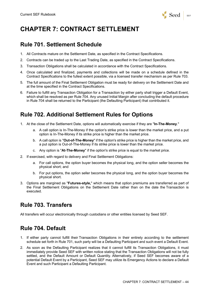

# **CHAPTER 7: CONTRACT SETTLEMENT**

### **Rule 701. Settlement Schedule**

- 1. All Contracts mature on the Settlement Date, as specified in the Contract Specifications.
- 2. Contracts can be traded up to the Last Trading Date, as specified in the Contract Specifications.
- 3. Transaction Obligations shall be calculated in accordance with the Contract Specifications.
- 4. Once calculated and finalized, payments and collections will be made on a schedule defined in the Contract Specifications to the fullest extent possible, via a licensed transfer mechanism as per Rule 703.
- 5. The full amount of the Final Settlement Obligation must be ready for delivery on the Settlement Date and at the time specified in the Contract Specifications.
- 6. Failure to fulfill any Transaction Obligation for a Transaction by either party shall trigger a Default Event, which shall be resolved as per Rule 704. Any unused Initial Margin after concluding the default procedure in Rule 704 shall be returned to the Participant (the Defaulting Participant) that contributed it.

# **Rule 702. Additional Settlement Rules for Options**

- 1. At the close of the Settlement Date, options will automatically exercise if they are "**In-The-Money**."
	- a. A call option is In-The-Money if the option's strike price is lower than the market price, and a put option is In-The-Money if its strike price is higher than the market price.
	- b. A call option is "**Out-of-The-Money**" if the option's strike price is higher than the market price, and a put option is Out-of-The-Money if its strike price is lower than the market price.
	- c. Any option is "**At-The-Money**" if the option's strike price is equal to the market price.
- 2. If exercised, with regard to delivery and Final Settlement Obligations:
	- a. For call options, the option buyer becomes the physical long, and the option seller becomes the physical short; and
	- b. For put options, the option seller becomes the physical long, and the option buyer becomes the physical short.
- 3. Options are margined as "**Futures-style,**" which means that option premiums are transferred as part of the Final Settlement Obligations on the Settlement Date rather than on the date the Transaction is executed.

### **Rule 703. Transfers**

All transfers will occur electronically through custodians or other entities licensed by Seed SEF.

# **Rule 704. Default**

- 1. If either party cannot fulfill their Transaction Obligations in their entirety according to the settlement schedule set forth in Rule 701, such party will be a Defaulting Participant and such event a Default Event.
- 2. As soon as the Defaulting Participant realizes that it cannot fulfill its Transaction Obligations, it must immediately provide Seed SEF with written notice stating that the Transaction Obligations will not be fully settled, and the Default Amount or Default Quantity. Alternatively, if Seed SEF becomes aware of a potential Default Event by a Participant, Seed SEF may utilize its Emergency Actions to declare a Default Event and such Participant a Defaulting Participant.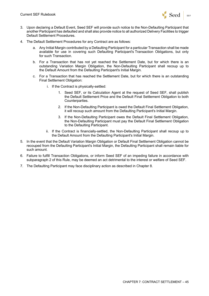

- 3. Upon declaring a Default Event, Seed SEF will provide such notice to the Non-Defaulting Participant that another Participant has defaulted and shall also provide notice to all authorized Delivery Facilities to trigger Default Settlement Procedures.
- 4. The Default Settlement Procedures for any Contract are as follows:
	- a. Any Initial Margin contributed by a Defaulting Participant for a particular Transaction shall be made available for use in covering such Defaulting Participant's Transaction Obligations, but only for such Transaction.
	- b. For a Transaction that has not yet reached the Settlement Date, but for which there is an outstanding Variation Margin Obligation, the Non-Defaulting Participant shall recoup up to the Default Amount from the Defaulting Participant's Initial Margin.
	- c. For a Transaction that has reached the Settlement Date, but for which there is an outstanding Final Settlement Obligation:
		- i. If the Contract is physically-settled:
			- 1. Seed SEF, or its Calculation Agent at the request of Seed SEF, shall publish the Default Settlement Price and the Default Final Settlement Obligation to both Counterparties.
			- 2. If the Non-Defaulting Participant is owed the Default Final Settlement Obligation, it will recoup such amount from the Defaulting Participant's Initial Margin.
			- 3. If the Non-Defaulting Participant owes the Default Final Settlement Obligation, the Non-Defaulting Participant must pay the Default Final Settlement Obligation to the Defaulting Participant.
		- ii. If the Contract is financially-settled, the Non-Defaulting Participant shall recoup up to the Default Amount from the Defaulting Participant's Initial Margin.
- 5. In the event that the Default Variation Margin Obligation or Default Final Settlement Obligation cannot be recouped from the Defaulting Participant's Initial Margin, the Defaulting Participant shall remain liable for such amount.
- 6. Failure to fulfill Transaction Obligations, or inform Seed SEF of an impeding failure in accordance with subparagraph 2 of this Rule, may be deemed an act detrimental to the interest or welfare of Seed SEF.
- 7. The Defaulting Participant may face disciplinary action as described in Chapter 8.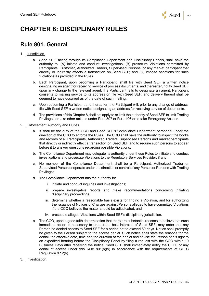

# **CHAPTER 8: DISCIPLINARY RULES**

# **Rule 801. General**

- 1. Jurisdiction.
	- a. Seed SEF, acting through its Compliance Department and Disciplinary Panels, shall have the authority to: (A) initiate and conduct investigations; (B) prosecute Violations committed by Participants, Customer, Authorized Traders, Supervised Persons, or any market participant that directly or indirectly affects a transaction on Seed SEF; and (C) impose sanctions for such Violations as provided in the Rules.
	- b. Each Participant, upon becoming a Participant, shall file with Seed SEF a written notice designating an agent for receiving service of process documents, and thereafter, notify Seed SEF upon any change to the relevant agent. If a Participant fails to designate an agent, Participant consents to mailing service to its address on file with Seed SEF, and delivery thereof shall be deemed to have occurred as of the date of such mailing.
	- c. Upon becoming a Participant and thereafter, the Participant will, prior to any change of address, file with Seed SEF a written notice designating an address for receiving service of documents.
	- d. The provisions of this Chapter 8 shall not apply to or limit the authority of Seed SEF to limit Trading Privileges or take other actions under Rule 307 or Rule 406 or to take Emergency Actions.
- 2. Enforcement Authority and Duties.
	- a. It shall be the duty of the CCO and Seed SEF's Compliance Department personnel under the direction of the CCO to enforce the Rules. The CCO shall have the authority to inspect the books and records of all Participants, Authorized Traders, Supervised Persons and market participants that directly or indirectly effect a transaction on Seed SEF and to require such persons to appear before it to answer questions regarding possible Violations.
	- b. The Compliance Department may delegate its authority under these Rules to initiate and conduct investigations and prosecute Violations to the Regulatory Services Provider, if any.
	- c. No member of the Compliance Department shall be a Participant, Authorized Trader or Supervised Person or operate under the direction or control of any Person or Persons with Trading Privileges.
	- d. The Compliance Department has the authority to:
		- i. initiate and conduct inquiries and investigations;
		- ii. prepare investigative reports and make recommendations concerning initiating disciplinary proceedings;
		- iii. determine whether a reasonable basis exists for finding a Violation, and for authorizing the issuance of Notices of Charges against Persons alleged to have committed Violations if the CCO believes the matter should be adjudicated; and
		- iv. prosecute alleged Violations within Seed SEF's disciplinary jurisdiction.
	- e. The CCO, upon a good faith determination that there are substantial reasons to believe that such immediate action is necessary to protect the best interests of Seed SEF, may order that any Person be denied access to Seed SEF for a period not to exceed 60 days. Notice shall promptly be given to the Person subject to the access denial. Such notice shall state the reasons for the denial, the effective date, time and the duration of the denial and advise the Person of his right to an expedited hearing before the Disciplinary Panel by filing a request with the CCO within 10 Business Days after receiving the notice. Seed SEF shall immediately notify the CFTC of any denial of access under this Rule  $801(b)(v)$  in accordance with the requirements of CFTC Regulation 9.12(b).
- 3. Investigation.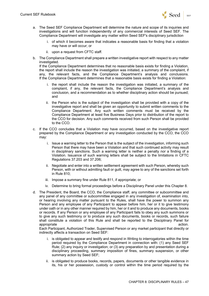

- a. The Seed SEF Compliance Department will determine the nature and scope of its inquiries and investigations and will function independently of any commercial interests of Seed SEF. The Compliance Department will investigate any matter within Seed SEF's disciplinary jurisdiction
	- i. of which it becomes aware that indicates a reasonable basis for finding that a violation may have or will occur; or
	- ii. upon a request from CFTC staff.
- b. The Compliance Department shall prepare a written investigative report with respect to any matter investigated.

If the Compliance Department determines that no reasonable basis exists for finding a Violation, the report shall include the reason the investigation was initiated, a summary of the complaint, if any, the relevant facts, and the Compliance Department's analysis and conclusions. If the Compliance Department determines that a reasonable basis exists for finding a Violation:

- i. the report shall include the reason the investigation was initiated, a summary of the complaint, if any, the relevant facts, the Compliance Department's analysis and conclusion, and a recommendation as to whether disciplinary action should be pursued; and
- ii. the Person who is the subject of the investigation shall be provided with a copy of the investigative report and shall be given an opportunity to submit written comments to the Compliance Department. Any such written comments must be received by the Compliance Department at least five Business Days prior to distribution of the report to the CCO for decision. Any such comments received from such Person shall be provided to the CCO.
- c. If the CCO concludes that a Violation may have occurred, based on the investigative report prepared by the Compliance Department or any investigation conducted by the CCO, the CCO may:
	- i. Issue a warning letter to the Person that is the subject of the investigation, informing such Person that there may have been a Violation and that such continued activity may result in disciplinary sanctions. Such a warning letter is neither a penalty nor a finding of a Violation. Issuance of such warning letters shall be subject to the limitations in CFTC Regulations 37.203 and 37.206;
	- ii. Negotiate and enter into a written settlement agreement with such Person, whereby such Person, with or without admitting fault or guilt, may agree to any of the sanctions set forth in Rule 810;
	- iii. Impose a summary fine under Rule 811, if appropriate; or
	- iv. Determine to bring formal proceedings before a Disciplinary Panel under this Chapter 8.
- d. The President, the Board, the CCO, the Compliance staff, any committee or subcommittee and any panel of any committee or subcommittee engaged in any investigation of, examination into, or hearing involving any matter pursuant to the Rules, shall have the power to summon any Person and any employee of any Participant to appear before him, her or it to give testimony under oath or in any other manner required by him, her or it and to produce any documents, books or records. If any Person or any employee of any Participant fails to obey any such summons or to give any such testimony or to produce any such documents, books or records, such failure shall constitute a violation of this Rule and shall be reported to the Disciplinary Panel for appropriate action.

Each Participant, Authorized Trader, Supervised Person or any market participant that directly or indirectly affects a transaction on Seed SEF:

- i. is obligated to appear and testify and respond in Writing to interrogatories within the time period required by the Compliance Department in connection with: (1) any Seed SEF Rule; (2) any inquiry or investigation; or (3) any preparation by and presentation during a disciplinary proceeding, summary imposition of fines, summary suspension, or other summary action by Seed SEF;
- ii. is obligated to produce books, records, papers, documents or other tangible evidence in its, his or her possession, custody or control within the time period required by the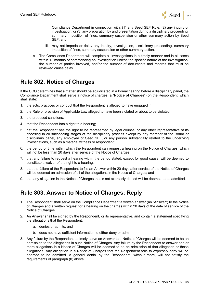

Compliance Department in connection with: (1) any Seed SEF Rule; (2) any inquiry or investigation; or (3) any preparation by and presentation during a disciplinary proceeding, summary imposition of fines, summary suspension or other summary action by Seed SEF; and

- iii. may not impede or delay any inquiry, investigation, disciplinary proceeding, summary imposition of fines, summary suspension or other summary action.
- e. The Compliance Department will complete all investigations in a timely manner and in all cases within 12 months of commencing an investigation unless the specific nature of the investigation, the number of parties involved, and/or the number of documents and records that must be reviewed cause delay.

#### **Rule 802. Notice of Charges**

If the CCO determines that a matter should be adjudicated in a formal hearing before a disciplinary panel, the Compliance Department shall serve a notice of charges (a "**Notice of Charges**") on the Respondent, which shall state:

- 1. the acts, practices or conduct that the Respondent is alleged to have engaged in;
- 2. the Rule or provision of Applicable Law alleged to have been violated or about to be violated;
- 3. the proposed sanctions;
- 4. that the Respondent has a right to a hearing;
- 5. hat the Respondent has the right to be represented by legal counsel or any other representative of its choosing in all succeeding stages of the disciplinary process except by any member of the Board or disciplinary panel, any employee of Seed SEF, or any person substantially related to the underlying investigations, such as a material witness or respondent;
- 6. the period of time within which the Respondent can request a hearing on the Notice of Charges, which will not be less than 20 days after service of the Notice of Charges;
- 7. that any failure to request a hearing within the period stated, except for good cause, will be deemed to constitute a waiver of the right to a hearing;
- 8. that the failure of the Respondent to file an Answer within 20 days after service of the Notice of Charges will be deemed an admission of all of the allegations in the Notice of Charges; and
- 9. that any allegation in the Notice of Charges that is not expressly denied will be deemed to be admitted.

### **Rule 803. Answer to Notice of Charges; Reply**

- 1. The Respondent shall serve on the Compliance Department a written answer (an "Answer") to the Notice of Charges and a written request for a hearing on the charges within 20 days of the date of service of the Notice of Charges.
- 2. An Answer shall be signed by the Respondent, or its representative, and contain a statement specifying the allegations that the Respondent:
	- a. denies or admits; and
	- b. does not have sufficient information to either deny or admit.
- 3. Any failure by the Respondent to timely serve an Answer to a Notice of Charges will be deemed to be an admission to the allegations in such Notice of Charges. Any failure by the Respondent to answer one or more allegations in a Notice of Charges will be deemed to be an admission of that allegation or those allegations. Any allegation in a Notice of Charges that the Respondent fails to expressly deny will be deemed to be admitted. A general denial by the Respondent, without more, will not satisfy the requirements of paragraph (b) above.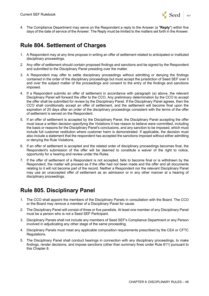

4. The Compliance Department may serve on the Respondent a reply to the Answer (a "**Reply**") within five days of the date of service of the Answer. The Reply must be limited to the matters set forth in the Answer.

#### **Rule 804. Settlement of Charges**

- 1. A Respondent may at any time propose in writing an offer of settlement related to anticipated or instituted disciplinary proceedings.
- 2. Any offer of settlement should contain proposed findings and sanctions and be signed by the Respondent and submitted to the Disciplinary Panel presiding over the matter.
- 3. A Respondent may offer to settle disciplinary proceedings without admitting or denying the findings contained in the order of the disciplinary proceedings but must accept the jurisdiction of Seed SEF over it and over the subject matter of the proceedings and consent to the entry of the findings and sanctions imposed.
- 4. If a Respondent submits an offer of settlement in accordance with paragraph (a) above, the relevant Disciplinary Panel will forward the offer to the CCO. Any preliminary determination by the CCO to accept the offer shall be submitted for review by the Disciplinary Panel. If the Disciplinary Panel agrees, then the CCO shall conditionally accept an offer of settlement, and the settlement will become final upon the expiration of 20 days after an order of the disciplinary proceedings consistent with the terms of the offer of settlement is served on the Respondent.
- 5. If an offer of settlement is accepted by the Disciplinary Panel, the Disciplinary Panel accepting the offer must issue a written decision specifying the Violations it has reason to believe were committed, including the basis or reasons for the Disciplinary Panel's conclusions, and any sanction to be imposed, which must include full customer restitution where customer harm is demonstrated. If applicable, the decision must also include a statement that the respondent has accepted the sanctions imposed without either admitting or denying the Rule Violations.
- 6. If an offer of settlement is accepted and the related order of disciplinary proceedings becomes final, the Respondent's submission of the offer will be deemed to constitute a waiver of the right to notice, opportunity for a hearing and review under the Rules.
- 7. If the offer of settlement of a Respondent is not accepted, fails to become final or is withdrawn by the Respondent, the matter will proceed as if the offer had not been made and the offer and all documents relating to it will not become part of the record. Neither a Respondent nor the relevant Disciplinary Panel may use an unaccepted offer of settlement as an admission or in any other manner at a hearing of disciplinary proceedings.

### **Rule 805. Disciplinary Panel**

- 1. The CCO shall appoint the members of the Disciplinary Panels in consultation with the Board. The CCO or the Board may remove a member of a Disciplinary Panel for cause.
- 2. The Disciplinary Panel will consist of three or five panelists. At least one member of any Disciplinary Panel must be a person who is not a Seed SEF Participant.
- 3. Disciplinary Panels shall not include any members of Seed SEF's Compliance Department or any Person involved in adjudicating any other stage of the same proceeding.
- 4. Disciplinary Panels must meet any applicable composition requirements prescribed by the CEA or CFTC Regulations.
- 5. The Disciplinary Panel shall conduct hearings in connection with any disciplinary proceedings, to make findings, render decisions, and impose sanctions (other than summary fines under Rule 811) pursuant to this Chapter 8.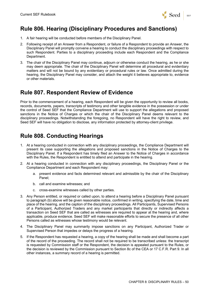

## **Rule 806. Hearing (Disciplinary Procedures and Sanctions)**

- 1. A fair hearing will be conducted before members of the Disciplinary Panel.
- 2. Following receipt of an Answer from a Respondent, or failure of a Respondent to provide an Answer, the Disciplinary Panel will promptly convene a hearing to conduct the disciplinary proceedings with respect to such Respondent. Parties to a disciplinary proceeding include each Respondent and the Compliance Department.
- 3. The chair of the Disciplinary Panel may continue, adjourn or otherwise conduct the hearing, as he or she may deem appropriate. The chair of the Disciplinary Panel will determine all procedural and evidentiary matters and will not be bound by any evidentiary or procedural rules or law. Once admitted during the hearing, the Disciplinary Panel may consider, and attach the weight it believes appropriate to, evidence or other materials.

#### **Rule 807. Respondent Review of Evidence**

Prior to the commencement of a hearing, each Respondent will be given the opportunity to review all books, records, documents, papers, transcripts of testimony and other tangible evidence in the possession or under the control of Seed SEF that the Compliance Department will use to support the allegations and proposed sanctions in the Notice of Charges or which the chair of the Disciplinary Panel deems relevant to the disciplinary proceedings. Notwithstanding the foregoing, no Respondent will have the right to review, and Seed SEF will have no obligation to disclose, any information protected by attorney-client privilege.

# **Rule 808. Conducting Hearings**

- 1. At a hearing conducted in connection with any disciplinary proceedings, the Compliance Department will present its case supporting the allegations and proposed sanctions in the Notice of Charges to the Disciplinary Panel. If a Respondent has timely filed an Answer to the Notice of Charges in accordance with the Rules, the Respondent is entitled to attend and participate in the hearing.
- 2. At a hearing conducted in connection with any disciplinary proceedings, the Disciplinary Panel or the Compliance Department and each Respondent may:
	- a. present evidence and facts determined relevant and admissible by the chair of the Disciplinary Panel;
	- b. call and examine witnesses; and
	- c. cross-examine witnesses called by other parties.
- 3. Any Person entitled, or required or called upon, to attend a hearing before a Disciplinary Panel pursuant to paragraph (b) above will be given reasonable notice, confirmed in writing, specifying the date, time and place of the hearing, and the caption of the disciplinary proceedings. All Participants, Supervised Persons of a Participant, Authorized Traders and any market participants that directly or indirectly affects a transaction on Seed SEF that are called as witnesses are required to appear at the hearing and, where applicable, produce evidence. Seed SEF will make reasonable efforts to secure the presence of all other Persons called as witnesses whose testimony would be relevant.
- 4. The Disciplinary Panel may summarily impose sanctions on any Participant, Authorized Trader or Supervised Person that impedes or delays the progress of a hearing.
- 5. If the Respondent has requested a hearing, a copy of the hearing shall be made and shall become a part of the record of the proceeding. The record shall not be required to be transcribed unless: the transcript is requested by Commission staff or the Respondent, the decision is appealed pursuant to the Rules, or the decision is reviewed by the Commission pursuant to Section 8c of the CEA or 17 C.F.R. Part 9. In all other instances, a summary record of a hearing is permitted.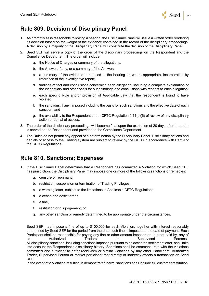

# **Rule 809. Decision of Disciplinary Panel**

- 1. As promptly as is reasonable following a hearing, the Disciplinary Panel will issue a written order rendering its decision based on the weight of the evidence contained in the record of the disciplinary proceedings. A decision by a majority of the Disciplinary Panel will constitute the decision of the Disciplinary Panel.
- 2. Seed SEF will serve a copy of the order of the disciplinary proceedings on the Respondent and the Compliance Department. The order will include:
	- a. the Notice of Charges or summary of the allegations;
	- b. the Answer, if any, or a summary of the Answer;
	- c. a summary of the evidence introduced at the hearing or, where appropriate, incorporation by reference of the investigative report;
	- d. findings of fact and conclusions concerning each allegation, including a complete explanation of the evidentiary and other basis for such findings and conclusions with respect to each allegation;
	- e. each specific Rule and/or provision of Applicable Law that the respondent is found to have violated;
	- f. the sanctions, if any, imposed including the basis for such sanctions and the effective date of each sanction; and
	- g. the availability to the Respondent under CFTC Regulation 9.11(b)(6) of review of any disciplinary action or denial of access.
- 3. The order of the disciplinary proceedings will become final upon the expiration of 20 days after the order is served on the Respondent and provided to the Compliance Department.
- 4. The Rules do not permit any appeal of a determination by the Disciplinary Panel. Disciplinary actions and denials of access to the Trading system are subject to review by the CFTC in accordance with Part 9 of the CFTC Regulations.

#### **Rule 810. Sanctions; Expenses**

- 1. If the Disciplinary Panel determines that a Respondent has committed a Violation for which Seed SEF has jurisdiction, the Disciplinary Panel may impose one or more of the following sanctions or remedies:
	- a. censure or reprimand,
	- b. restriction, suspension or termination of Trading Privileges,
	- c. a warning letter, subject to the limitations in Applicable CFTC Regulations,
	- d. a cease and desist order,
	- e. a fine,
	- f. restitution or disgorgement; or
	- g. any other sanction or remedy determined to be appropriate under the circumstances.

Seed SEF may impose a fine of up to \$100,000 for each Violation, together with interest reasonably determined by Seed SEF for the period from the date such fine is imposed to the date of payment. Each Participant shall be responsible for paying any fine or other amount imposed on, but not paid by, any of its Authorized Traders or Supervised Persons. All disciplinary sanctions, including sanctions imposed pursuant to an accepted settlement offer, shall take into account the Respondent's disciplinary history. Sanctions shall be commensurate with the violations committed and sufficient to deter recidivism or similar violations by any other Participant, Authorized Trader, Supervised Person or market participant that directly or indirectly affects a transaction on Seed SEF.

In the event of a Violation resulting in demonstrated harm, sanctions shall include full customer restitution,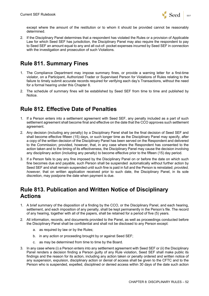

except where the amount of the restitution or to whom it should be provided cannot be reasonably determined.

2. If the Disciplinary Panel determines that a respondent has violated the Rules or a provision of Applicable Law for which Seed SEF has jurisdiction, the Disciplinary Panel may also require the respondent to pay to Seed SEF an amount equal to any and all out-of- pocket expenses incurred by Seed SEF in connection with the investigation and prosecution of such Violations.

## **Rule 811. Summary Fines**

- 1. The Compliance Department may impose summary fines, or provide a warning letter for a first-time violator, on a Participant, Authorized Trader or Supervised Person for Violations of Rules relating to the failure to timely submit accurate records required for verifying each day's Transactions, without the need for a formal hearing under this Chapter 8.
- 2. The schedule of summary fines will be established by Seed SEF from time to time and published by Notice.

### **Rule 812. Effective Date of Penalties**

- 1. If a Person enters into a settlement agreement with Seed SEF, any penalty included as a part of such settlement agreement shall become final and effective on the date that the CCO approves such settlement agreement.
- 2. Any decision (including any penalty) by a Disciplinary Panel shall be the final decision of Seed SEF and shall become effective fifteen (15) days, or such longer time as the Disciplinary Panel may specify, after a copy of the written decision of the Disciplinary Panel has been served on the Respondent and delivered to the Commission; provided, however, that, in any case where the Respondent has consented to the action taken and to the timing of its effectiveness, the Disciplinary Panel may cause the decision involving any disciplinary action (including any penalty) to become effective prior to the fifteen (15) day period.
- 3. If a Person fails to pay any fine imposed by the Disciplinary Panel on or before the date on which such fine becomes due and payable, such Person shall be suspended automatically without further action by Seed SEF and shall remain suspended until such fine is paid in full and the Person is reinstated; *provided, however,* that on written application received prior to such date, the Disciplinary Panel, in its sole discretion, may postpone the date when payment is due.

#### **Rule 813. Publication and Written Notice of Disciplinary Actions**

- 1. A brief summary of the disposition of a finding by the CCO, or the Disciplinary Panel, and each hearing, settlement, and each imposition of any penalty, shall be kept permanently in the Person's file. The record of any hearing, together with all of the papers, shall be retained for a period of five (5) years.
- 2. All information, records, and documents provided to the Panel, as well as proceedings conducted before the Disciplinary Panel shall be confidential and shall not be disclosed to any Person except:
	- a. as required by law or by the Rules;
	- b. in any action or proceeding brought by or against Seed SEF;
	- c. as may be determined from time to time by the Board.
- 3. In any case where (i) a Person enters into any settlement agreement with Seed SEF or (ii) the Disciplinary Panel renders a decision finding a Person guilty of any Rule violation, Seed SEF shall make public its findings and the reason for its action, including any action taken or penalty ordered and written notice of any suspension, expulsion, disciplinary action or denial of access shall be given to the CFTC and to the Person who is suspended, expelled, disciplined or denied access within 30 days of the date such action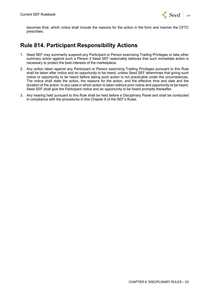

becomes final, which notice shall include the reasons for the action in the form and manner the CFTC prescribes.

#### **Rule 814. Participant Responsibility Actions**

- 1. Seed SEF may summarily suspend any Participant or Person exercising Trading Privileges or take other summary action against such a Person if Seed SEF reasonably believes that such immediate action is necessary to protect the best interests of the marketplace.
- 2. Any action taken against any Participant or Person exercising Trading Privileges pursuant to this Rule shall be taken after notice and an opportunity to be heard, unless Seed SEF determines that giving such notice or opportunity to be heard before taking such action is not practicable under the circumstances. The notice shall state the action, the reasons for the action, and the effective time and date and the duration of the action. In any case in which action is taken without prior notice and opportunity to be heard, Seed SEF shall give the Participant notice and an opportunity to be heard promptly thereafter.
- 3. Any hearing held pursuant to this Rule shall be held before a Disciplinary Panel and shall be conducted in compliance with the procedures in this Chapter 8 of the SEF's Rules.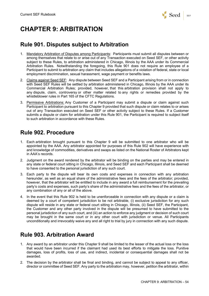

#### **Rule 901. Disputes subject to Arbitration**

- 1. Mandatory Arbitration of Disputes among Participants: Participants must submit all disputes between or among themselves that relate to or arise out of any Transaction executed on Seed SEF, or other activity subject to these Rules, to arbitration administered in Chicago, Illinois by the AAA under its Commercial Arbitration Rules. Notwithstanding the foregoing, this Rule 901 does not require an employee of a Participant to submit to arbitration any claim that includes allegations of a violation of federal, state or local employment discrimination, sexual harassment, wage payment or benefits laws.
- 2. Claims against Seed SEF: Any dispute between Seed SEF and a Participant arising from or in connection with Seed SEF Rules will be settled by arbitration administered in Chicago, Illinois by the AAA under its Commercial Arbitration Rules; provided, however, that this arbitration provision shall not apply to any dispute, claim, controversy or other matter related to any rights or remedies provided by the whistleblower rules in Part 165 of the CFTC Regulations.
- 3. Permissive Arbitrations: Any Customer of a Participant may submit a dispute or claim against such Participant to arbitration pursuant to this Chapter 9 provided that such dispute or claim relates to or arises out of any Transaction executed on Seed SEF or other activity subject to these Rules. If a Customer submits a dispute or claim for arbitration under this Rule 901, the Participant is required to subject itself to such arbitration in accordance with these Rules.

### **Rule 902. Procedure**

- 1. Each arbitration brought pursuant to this Chapter 9 will be submitted to one arbitrator who will be appointed by the AAA. Any arbitrator appointed for purposes of this Rule 902 will have experience with and knowledge of commodities, derivatives and swaps as listed on the National Roster of Arbitrators kept in AAA's records.
- 2. Judgment on the award rendered by the arbitrator will be binding on the parties and may be entered in any state or federal court sitting in Chicago, Illinois, and Seed SEF and each Participant shall be deemed to have consented to the personal jurisdiction of any such court.
- 3. Each party to the dispute will bear its own costs and expenses in connection with any arbitration hereunder, as well as an equal share of the administrative fees and the fees of the arbitrator; provided, however, that the arbitrator will be entitled to include in any award a full reimbursement for the prevailing party's costs and expenses, such party's share of the administrative fees and the fees of the arbitrator, or any combination of any or all of the above.
- 4. In the event that this Rule 902 is held to be unenforceable in connection with any dispute or a claim is deemed by a court of competent jurisdiction to be not arbitrable, (i) exclusive jurisdiction for any such dispute will reside in any state or federal court sitting in Chicago, Illinois, (ii) Seed SEF, the Participant, the Customer and any other party involved in the dispute will be presumed to have submitted to the personal jurisdiction of any such court, and (iii) an action to enforce any judgment or decision of such court may be brought in the same court or in any other court with jurisdiction or venue. All Participants unconditionally and irrevocably waive any and all right to trial by jury in connection with any such dispute.

# **Rule 903. Arbitration Award**

- 1. Any award by an arbitrator under this Chapter 9 shall be limited to the lesser of the actual loss or the loss that would have been incurred if the claimant had used its best efforts to mitigate the loss. Punitive damages, loss of profits, loss of use, and indirect, incidental or consequential damages shall not be awarded.
- 2. The decision by the arbitrator shall be final and binding, and cannot be subject to appeal to any officer, director or committee of Seed SEF. Any party to the arbitration may, however, petition the arbitrator, within

Seed SEF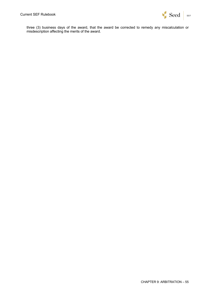

three (3) business days of the award, that the award be corrected to remedy any miscalculation or misdescription affecting the merits of the award.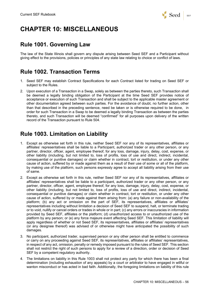

# **CHAPTER 10: MISCELLANEOUS**

#### **Rule 1001. Governing Law**

The law of the State Illinois shall govern any dispute arising between Seed SEF and a Participant without giving effect to the provisions, policies or principles of any state law relating to choice or conflict of laws.

#### **Rule 1002. Transaction Terms**

- 1. Seed SEF may establish Contract Specifications for each Contract listed for trading on Seed SEF or subject to the Rules.
- 2. Upon execution of a Transaction in a Swap, solely as between the parties thereto, such Transaction shall be deemed a legally binding obligation of the Participant at the time Seed SEF provides notice of acceptance or execution of such Transaction and shall be subject to the applicable master agreement or other documentation agreed between such parties. For the avoidance of doubt, no further action, other than that described in the preceding sentence, need be taken or is otherwise required to be done, in order for such Transaction in a Swap to be deemed a legally binding Transaction as between the parties thereto, and such Transaction will be deemed "confirmed" for all purposes upon delivery of the written record of the Transaction pursuant to Rule 504.

#### **Rule 1003. Limitation on Liability**

- 1. Except as otherwise set forth in this rule, neither Seed SEF nor any of its representatives, affiliates or affiliates' representatives shall be liable to a Participant, authorized trader or any other person, or any partner, director, officer, agent, employee thereof, for any loss, damage, injury, delay, cost, expense, or other liability (including, but not limited to, loss of profits, loss of use and direct, indirect, incidental, consequential or punitive damages) or claim whether in contract, tort or restitution, or under any other cause of action, suffered by or made against them as a result of their use of some or all of the platform, by making use of the platform, such persons expressly agree to accept all liability arising from their use of same.
- 2. Except as otherwise set forth in this rule, neither Seed SEF nor any of its representatives, affiliates or affiliates' representatives shall be liable to a participant, authorized trader or any other person, or any partner, director, officer, agent, employee thereof, for any loss, damage, injury, delay, cost, expense, or other liability (including, but not limited to, loss of profits, loss of use and direct, indirect, incidental, consequential or punitive damages) or claim whether in contract, tort or restitution, or under any other cause of action, suffered by or made against them arising from: (a) any failure or non-availability of the platform; (b) any act or omission on the part of SEF, its representatives, affiliates or affiliates' representatives including without limitation a decision of Seed SEF to suspend, halt, or terminate trading or to void, nullify or cancel orders or trades in whole or in part; (c) any errors or inaccuracies in information provided by Seed SEF, affiliates or the platform; (d) unauthorized access to or unauthorized use of the platform by any person; or (e) any force majeure event affecting Seed SEF. This limitation of liability will apply regardless of whether or not Seed SEF, its representatives, affiliates or affiliates' representatives (or any designee thereof) was advised of or otherwise might have anticipated the possibility of such damages.
- 3. No participant, authorized trader, supervised person or any other person shall be entitled to commence or carry on any proceeding against Seed SEF, its representatives, affiliates or affiliates' representatives, in respect of any act, omission, penalty or remedy imposed pursuant to the rules of Seed SEF. This section shall not restrict the right of such persons to apply for a review of a direction, order or decision of Seed SEF by a competent regulatory authority.
- 4. The limitations on liability in this Rule 1003 shall not protect any party for which there has been a final determination (including exhaustion of any appeals) by a court or arbitrator to have engaged in willful or wanton misconduct or has acted in bad faith. Additionally, the foregoing limitations on liability of this rule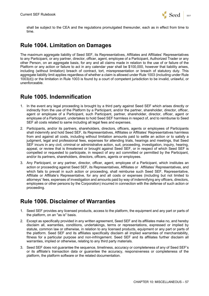

shall be subject to the CEA and the regulations promulgated thereunder, each as in effect from time to time.

#### **Rule 1004. Limitation on Damages**

The maximum aggregate liability of Seed SEF, its Representatives, Affiliates and Affiliates' Representatives to any Participant, or any partner, director, officer, agent, employee of a Participant, Authorized Trader or any other Person, on an aggregate basis, for any and all claims made in relation to the use of or failure of the Platform or any action or failure to act in any calendar year shall be \$100,000, however that liability arises, including (without limitation) breach of contract, tort, misrepresentation or breach of statutory duty. This aggregate liability limit applies regardless of whether a claim is allowed under Rule 1003 (including under Rule 1003(d)) or the limitation in Rule 1003 is found by a court of competent jurisdiction to be invalid, unlawful, or unenforceable.

#### **Rule 1005. Indemnification**

- 1. In the event any legal proceeding is brought by a third party against Seed SEF which arises directly or indirectly from the use of the Platform by a Participant, and/or the partner, shareholder, director, officer, agent or employee of a Participant, such Participant, partner, shareholder, director, officer, agent or employee of a Participant, undertakes to hold Seed SEF harmless in respect of, and to reimburse to Seed SEF all costs related to same including all legal fees and expenses.
- 2. Participants, and/or its partners, shareholders, directors, officers, agents or employees of Participants shall indemnify and hold Seed SEF, its Representatives, Affiliates or Affiliates' Representatives harmless from and against all costs, including without limitation amounts paid to settle an action or to satisfy a judgment, legal and professional fees, expenses for attending trials, hearings and meetings, that Seed SEF incurs in any civil, criminal or administrative action, suit, proceeding, investigation, inquiry, hearing, appeal, or review that is threatened or brought against Seed SEF, or in respect of which Seed SEF is compelled or requested to participate, in respect of any act committed or permitted by the Participant, and/or its partners, shareholders, directors, officers, agents or employees.
- 3. Any Participant, or any partner, director, officer, agent, employee of a Participant, which institutes an action or proceeding against Seed SEF, its Representatives, Affiliates or Affiliates' Representatives, and which fails to prevail in such action or proceeding, shall reimburse such Seed SEF. Representative, Affiliate or Affiliate's Representative, for any and all costs or expenses (including but not limited to attorneys' fees, expenses of investigation and amounts paid by way of indemnifying any officers, directors, employees or other persons by the Corporation) incurred in connection with the defense of such action or proceeding.

#### **Rule 1006. Disclaimer of Warranties**

- 1. Seed SEF provides any licensed products, access to the platform, the equipment and any part or parts of the platform, on an "as is" basis.
- 2. Except as specifically provided in any written agreement, Seed SEF and its affiliates make no, and hereby disclaim all, warranties, conditions, undertakings, terms or representations, expressed or implied by statute, common law or otherwise, in relation to any licensed products, equipment or any part or parts of the platform. Seed SEF and its affiliates specifically disclaim all implied warranties of merchantability, fitness for a particular purpose and non-infringement. Seed SEF and its affiliates further disclaim all warranties, implied or otherwise, relating to any third party materials.
- 3. Seed SEF does not guarantee the sequence, timeliness, accuracy or completeness of any of Seed SEF's or its affiliate's transaction data or guarantee the accuracy, responsiveness or completeness of the platform, the platform software or the related documentation.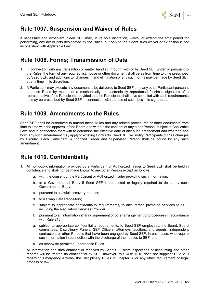

#### **Rule 1007. Suspension and Waiver of Rules**

If necessary and expedient, Seed SEF may, in its sole discretion, waive, or extend the time period for performing, any act or acts designated by the Rules, but only to the extent such waiver or extension is not inconsistent with Applicable Law.

# **Rule 1008. Forms; Transmission of Data**

- 1. In connection with any transaction or matter handled through, with or by Seed SEF under or pursuant to the Rules, the form of any required list, notice or other document shall be as from time to time prescribed by Seed SEF, and additions to, changes in and elimination of any such forms may be made by Seed SEF at any time in its discretion.
- 2. A Participant may execute any document to be delivered to Seed SEF or to any other Participant pursuant to these Rules by means of a mechanically or electronically reproduced facsimile signature of a representative of the Participant; provided that the Participant shall have complied with such requirements as may be prescribed by Seed SEF in connection with the use of such facsimile signatures.

#### **Rule 1009. Amendments to the Rules**

Seed SEF shall be authorized to amend these Rules and any related procedures or other documents from time to time with the approval of the Board and without the consent of any other Person, subject to Applicable Law, and in connection therewith to determine the effective date of any such amendment and whether, and how, any such amendment may apply to existing Contracts. Seed SEF will notify Participants of Rule changes by Circular. Each Participant, Authorized Trader and Supervised Person shall be bound by any such amendment.

### **Rule 1010. Confidentiality**

- 1. All non-public information provided by a Participant or Authorized Trader to Seed SEF shall be held in confidence and shall not be made known to any other Person except as follows:
	- a. with the consent of the Participant or Authorized Trader providing such information;
	- b. to a Governmental Body if Seed SEF is requested or legally required to do so by such Governmental Body;
	- c. pursuant to a lawful discovery request;
	- d. to a Swap Data Repository;
	- e. subject to appropriate confidentiality requirements, to any Person providing services to SEF, including the Regulatory Services Provider;
	- f. pursuant to an information sharing agreement or other arrangement or procedures in accordance with Rule 213;
	- g. subject to appropriate confidentiality requirements, to Seed SEF employees, the Board, Board committees, Disciplinary Panels, SEF Officers, attorneys, auditors, and agents, independent contractors or other Persons that have been engaged by Seed SEF, in each case, who require such information in connection with the discharge of their duties to SEF; and
	- h. as otherwise permitted under these Rules.
- 2. All information and data obtained or received by Seed SEF from inspections of accounting and other records will be treated as confidential by SEF; however, this Rule 1010 does not supplant Rule 210 regarding Emergency Actions, the Disciplinary Rules in Chapter 8, or any other requirement of legal process or law.